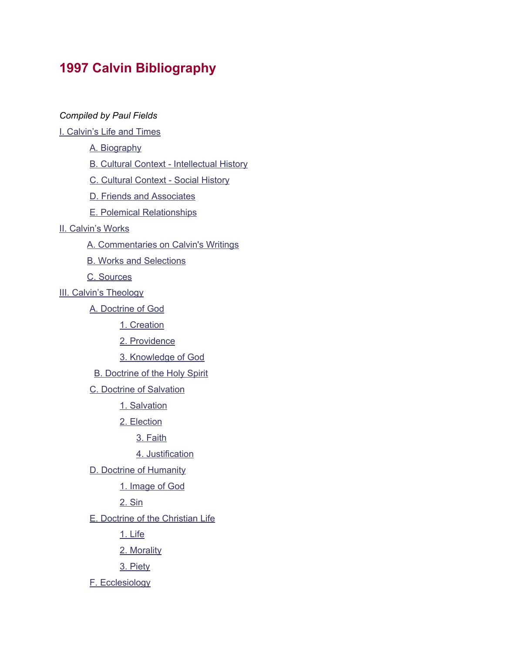# **1997 Calvin Bibliography**

# *Compiled by Paul Fields*

[I. Calvin's Life and Times](http://www.calvin.edu/meeter/publications/calvin-bibliography/1997.htm#ICalvinsLifeandTimes)

 [A. Biography](http://www.calvin.edu/meeter/publications/calvin-bibliography/1997.htm#ABiography)

B. Cultural Context - Intellectual History

C. Cultural Context - Social History

 [D. Friends and Associates](http://www.calvin.edu/meeter/publications/calvin-bibliography/1997.htm#DFriendsandAssociates)

 [E. Polemical Relationships](http://www.calvin.edu/meeter/publications/calvin-bibliography/1997.htm#EPolemicalRelationships)

# [II. Calvin's Works](http://www.calvin.edu/meeter/publications/calvin-bibliography/1997.htm#IICalvinsWorks)

 [A. Commentaries on](http://www.calvin.edu/meeter/publications/calvin-bibliography/1997.htm#BCulturalContextIntellectualHistory) Calvin's Writings

 [B. Works and Selections](http://www.calvin.edu/meeter/publications/calvin-bibliography/1997.htm#BCritique)

 [C. Sources](http://www.calvin.edu/meeter/publications/calvin-bibliography/1997.htm#CSources)

**[III. Calvin's Theology](http://www.calvin.edu/meeter/publications/calvin-bibliography/1997.htm#IIICalvinsTheology)** 

 [A. Doctrine of God](http://www.calvin.edu/meeter/publications/calvin-bibliography/1997.htm#ADoctrineofGod)

 [1. Creation](http://www.calvin.edu/meeter/publications/calvin-bibliography/1997.htm#1Creation)

 [2. Providence](http://www.calvin.edu/meeter/publications/calvin-bibliography/1997.htm#2Providence)

 [3. Knowledge](http://www.calvin.edu/meeter/publications/calvin-bibliography/1997.htm#3KnowledgeofGod) of God

 [B. Doctrine of the](http://www.calvin.edu/meeter/publications/calvin-bibliography/1997.htm#BDoctrineoftheHolySpirit) Holy Spirit

 [C. Doctrine of Salvation](http://www.calvin.edu/meeter/publications/calvin-bibliography/1997.htm#CDoctrineofSalvation)

 [1. Salvation](http://www.calvin.edu/meeter/publications/calvin-bibliography/1997.htm#IIIC1Salvation)

 [2. Election](http://www.calvin.edu/meeter/publications/calvin-bibliography/1997.htm#2Election)

 [3. Faith](http://www.calvin.edu/meeter/publications/calvin-bibliography/1997.htm#3Faith)

 [4. Justification](http://www.calvin.edu/meeter/publications/calvin-bibliography/1997.htm#4Justification)

D. Doctrine of Humanity

 [1. Image of](http://www.calvin.edu/meeter/publications/calvin-bibliography/1997.htm#1ImageofGod) God

 [2. Sin](http://www.calvin.edu/meeter/publications/calvin-bibliography/1997.htm#2Sin)

 [E. Doctrine of the](http://www.calvin.edu/meeter/publications/calvin-bibliography/1997.htm#EDoctrineoftheChristianLife) Christian Life

 [1. Life](http://www.calvin.edu/meeter/publications/calvin-bibliography/1997.htm#IIIE1Life)

 [2. Morality](http://www.calvin.edu/meeter/publications/calvin-bibliography/1997.htm#IIIE2Morality)

 [3. Piety](http://www.calvin.edu/meeter/publications/calvin-bibliography/1997.htm#3Piety)

 [F. Ecclesiology](http://www.calvin.edu/meeter/publications/calvin-bibliography/1997.htm#FEcclesiology)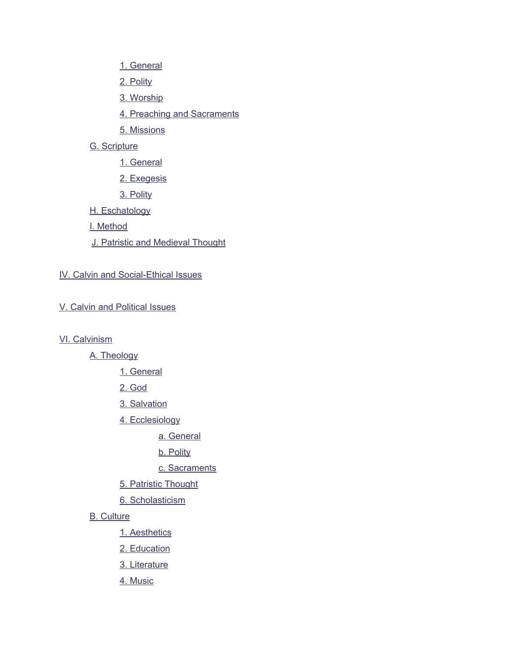[1. General](http://www.calvin.edu/meeter/publications/calvin-bibliography/1997.htm#IIIF1General)

 [2. Polity](http://www.calvin.edu/meeter/publications/calvin-bibliography/1997.htm#IIIF2Polity)

 [3. Worship](http://www.calvin.edu/meeter/publications/calvin-bibliography/1997.htm#IIIF3Worship)

 [4. Preaching](http://www.calvin.edu/meeter/publications/calvin-bibliography/1997.htm#IIIF4PreachingandSacraments) and Sacraments

 [5. Missions](http://www.calvin.edu/meeter/publications/calvin-bibliography/1997.htm#IIIF5Missions)

# [G. Scripture](http://www.calvin.edu/meeter/publications/calvin-bibliography/1997.htm#GScripture)

 [1. General](http://www.calvin.edu/meeter/publications/calvin-bibliography/1997.htm#IIIG1General)

 [2. Exegesis](http://www.calvin.edu/meeter/publications/calvin-bibliography/1997.htm#2Exegesis)

 [3. Polity](http://www.calvin.edu/meeter/publications/calvin-bibliography/1997.htm#3Polity)

 [H. Eschatology](http://www.calvin.edu/meeter/publications/calvin-bibliography/1997.htm#HEschatology)

 [I. Method](http://www.calvin.edu/meeter/publications/calvin-bibliography/1997.htm#IMethod)

[J. Patristic and Medieval](http://www.calvin.edu/meeter/publications/calvin-bibliography/1997.htm#JPatristicandMedievalThought) Thought

# IV. Calvin and Social-Ethical Issues

# [V. Calvin and Political Issues](http://www.calvin.edu/meeter/publications/calvin-bibliography/1997.htm#VCalvinandPoliticalIssues)

[VI. Calvinism](http://www.calvin.edu/meeter/publications/calvin-bibliography/1997.htm#VICalvinism)

 [A. Theology](http://www.calvin.edu/meeter/publications/calvin-bibliography/1997.htm#ATheology)

 [1. General](http://www.calvin.edu/meeter/publications/calvin-bibliography/1997.htm#VIA1General)

 [2. God](http://www.calvin.edu/meeter/publications/calvin-bibliography/1997.htm#2God)

 [3. Salvation](http://www.calvin.edu/meeter/publications/calvin-bibliography/1997.htm#VIA3Salvation)

 [4. Ecclesiology](http://www.calvin.edu/meeter/publications/calvin-bibliography/1997.htm#VIA4Ecclesiology)

a. [General](http://www.calvin.edu/meeter/publications/calvin-bibliography/1997.htm#VIA4aGeneral)

b. [Polity](http://www.calvin.edu/meeter/publications/calvin-bibliography/1997.htm#VIA4bPolity)

c. [Sacraments](http://www.calvin.edu/meeter/publications/calvin-bibliography/1997.htm#VIA4cSacraments)

 [5. Patristic Thought](http://www.calvin.edu/meeter/publications/calvin-bibliography/1997.htm#VIA5PatristicThought)

 [6. Scholasticism](http://www.calvin.edu/meeter/publications/calvin-bibliography/1997.htm#VIA6Scholasticism)

# [B. Culture](http://www.calvin.edu/meeter/publications/calvin-bibliography/1997.htm#BCulture)

 [1. Aesthetics](http://www.calvin.edu/meeter/publications/calvin-bibliography/1997.htm#VIB1Aesthetics)

- [2. Education](http://www.calvin.edu/meeter/publications/calvin-bibliography/1997.htm#VIB2Education)
- [3. Literature](http://www.calvin.edu/meeter/publications/calvin-bibliography/1997.htm#3Literature)
- [4. Music](http://www.calvin.edu/meeter/publications/calvin-bibliography/1997.htm#4Music)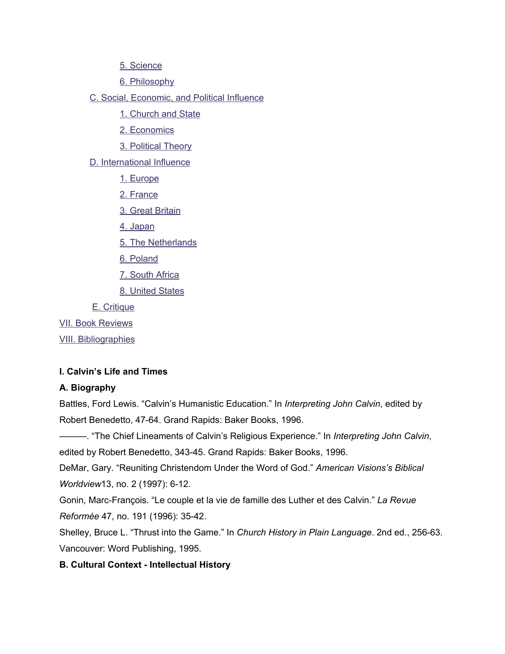[5. Science](http://www.calvin.edu/meeter/publications/calvin-bibliography/1997.htm#5Science)

 [6. Philosophy](http://www.calvin.edu/meeter/publications/calvin-bibliography/1997.htm#6Philosophy)

 [C. Social, Economic,](http://www.calvin.edu/meeter/publications/calvin-bibliography/1997.htm#CSocialEconomicandPoliticalInfluence) and Political Influence

 [1. Church](http://www.calvin.edu/meeter/publications/calvin-bibliography/1997.htm#1ChurchandState) and State

 [2. Economics](http://www.calvin.edu/meeter/publications/calvin-bibliography/1997.htm#2Economics)

 [3. Political](http://www.calvin.edu/meeter/publications/calvin-bibliography/1997.htm#3PoliticalTheory) Theory

 [D. International Influence](http://www.calvin.edu/meeter/publications/calvin-bibliography/1997.htm#DInternationalInfluence)

 [1. Europe](http://www.calvin.edu/meeter/publications/calvin-bibliography/1997.htm#1Europe)

 [2. France](http://www.calvin.edu/meeter/publications/calvin-bibliography/1997.htm#2France)

 [3. Great Britain](http://www.calvin.edu/meeter/publications/calvin-bibliography/1997.htm#3GreatBritain)

 [4. Japan](http://www.calvin.edu/meeter/publications/calvin-bibliography/1997.htm#4Japan)

 [5. The Netherlands](http://www.calvin.edu/meeter/publications/calvin-bibliography/1997.htm#5TheNetherlands)

 [6. Poland](http://www.calvin.edu/meeter/publications/calvin-bibliography/1997.htm#6Poland)

 [7. South Africa](http://www.calvin.edu/meeter/publications/calvin-bibliography/1997.htm#7SouthAfrica)

 [8. United States](http://www.calvin.edu/meeter/publications/calvin-bibliography/1997.htm#8UnitedStates)

 [E. Critique](http://www.calvin.edu/meeter/publications/calvin-bibliography/1997.htm#ECritique)

[VII. Book Reviews](http://www.calvin.edu/meeter/publications/calvin-bibliography/1997.htm#VIIBookReviews)

[VIII. Bibliographies](http://www.calvin.edu/meeter/publications/calvin-bibliography/1997.htm#VIIIBibliographies)

#### **I. Calvin's Life and Times**

# **A. Biography**

Battles, Ford Lewis. "Calvin's Humanistic Education." In *Interpreting John Calvin*, edited by Robert Benedetto, 47-64. Grand Rapids: Baker Books, 1996.

———. "The Chief Lineaments of Calvin's Religious Experience." In *Interpreting John Calvin*, edited by Robert Benedetto, 343-45. Grand Rapids: Baker Books, 1996.

DeMar, Gary. "Reuniting Christendom Under the Word of God." *American Visions's Biblical Worldview*13, no. 2 (1997): 6-12.

Gonin, Marc-François. "Le couple et la vie de famille des Luther et des Calvin." La Revue *Reformée* 47, no. 191 (1996): 35-42.

Shelley, Bruce L. "Thrust into the Game." In *Church History in Plain Language*. 2nd ed., 256-63. Vancouver: Word Publishing, 1995.

**B. Cultural Context Intellectual History**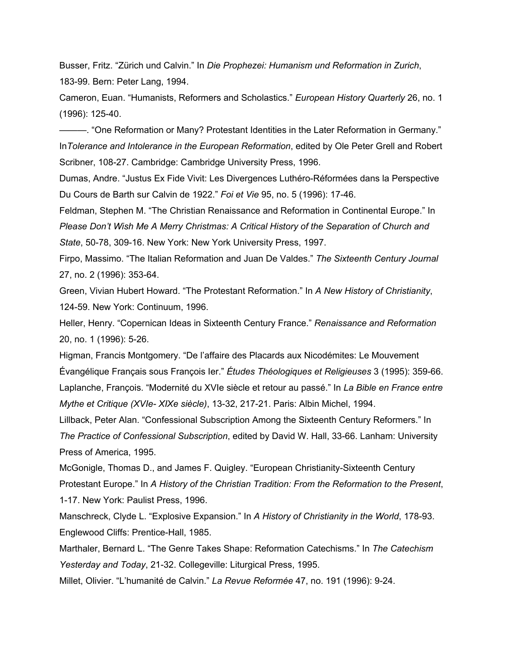Busser, Fritz. "Zürich und Calvin." In *Die Prophezei: Humanism und Reformation in Zurich*, 18399. Bern: Peter Lang, 1994.

Cameron, Euan. "Humanists, Reformers and Scholastics." *European History Quarterly* 26, no. 1 (1996): 125-40.

———. "One Reformation or Many? Protestant Identities in the Later Reformation in Germany." In*Tolerance and Intolerance in the European Reformation*, edited by Ole Peter Grell and Robert Scribner, 108-27. Cambridge: Cambridge University Press, 1996.

Dumas, Andre. "Justus Ex Fide Vivit: Les Divergences Luthéro-Réformées dans la Perspective Du Cours de Barth sur Calvin de 1922." *Foi et Vie* 95, no. 5 (1996): 1746.

Feldman, Stephen M. "The Christian Renaissance and Reformation in Continental Europe." In *Please Don't Wish Me A Merry Christmas: A Critical History of the Separation of Church and* State, 50-78, 309-16. New York: New York University Press, 1997.

Firpo, Massimo. "The Italian Reformation and Juan De Valdes." *The Sixteenth Century Journal* 27, no. 2 (1996): 353-64.

Green, Vivian Hubert Howard. "The Protestant Reformation." In *A New History of Christianity*, 12459. New York: Continuum, 1996.

Heller, Henry. "Copernican Ideas in Sixteenth Century France." *Renaissance and Reformation* 20, no. 1 (1996): 5-26.

Higman, Francis Montgomery. "De l'affaire des Placards aux Nicodémites: Le Mouvement Évangélique Français sous François Ier." *Études Théologiques et Religieuses* 3 (1995): 359-66. Laplanche, François. "Modernité du XVIe siècle et retour au passé." In *La Bible en France entre Mythe et Critique (XVIe- XIXe siècle)*, 13-32, 217-21. Paris: Albin Michel, 1994.

Lillback, Peter Alan. "Confessional Subscription Among the Sixteenth Century Reformers." In *The Practice of Confessional Subscription*, edited by David W. Hall, 33-66. Lanham: University Press of America, 1995.

McGonigle, Thomas D., and James F. Quigley. "European Christianity-Sixteenth Century Protestant Europe." In *A History of the Christian Tradition: From the Reformation to the Present*, 1-17. New York: Paulist Press, 1996.

Manschreck, Clyde L. "Explosive Expansion." In *A History of Christianity in the World*, 17893. Englewood Cliffs: Prentice-Hall, 1985.

Marthaler, Bernard L. "The Genre Takes Shape: Reformation Catechisms." In *The Catechism Yesterday and Today, 21-32. Collegeville: Liturgical Press, 1995.* 

Millet, Olivier. "L'humanité de Calvin." La Revue Reformée 47, no. 191 (1996): 9-24.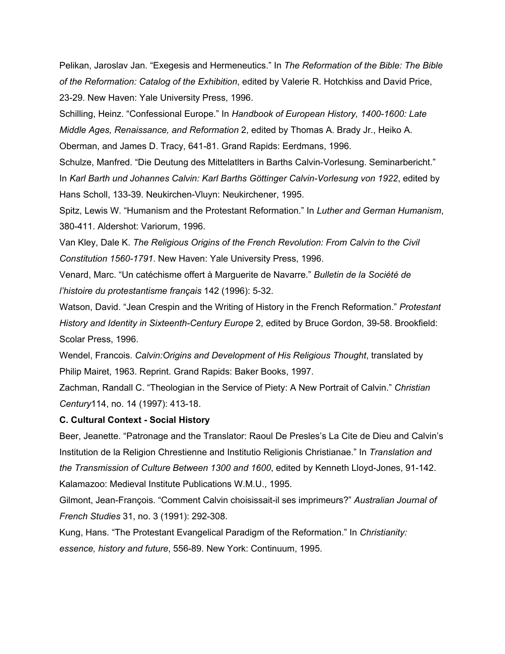Pelikan, Jaroslav Jan. "Exegesis and Hermeneutics." In *The Reformation of the Bible: The Bible of the Reformation: Catalog of the Exhibition*, edited by Valerie R. Hotchkiss and David Price, 23-29. New Haven: Yale University Press, 1996.

Schilling, Heinz. "Confessional Europe." In Handbook of *European History, 1400-1600: Late Middle Ages, Renaissance, and Reformation* 2, edited by Thomas A. Brady Jr., Heiko A. Oberman, and James D. Tracy, 641-81. Grand Rapids: Eerdmans, 1996.

Schulze, Manfred. "Die Deutung des Mittelatiters in Barths Calvin-Vorlesung. Seminarbericht." In *Karl Barth und Johannes Calvin: Karl Barths Göttinger CalvinVorlesung von 1922*, edited by Hans Scholl, 133-39. Neukirchen-Vluyn: Neukirchener, 1995.

Spitz, Lewis W. "Humanism and the Protestant Reformation." In *Luther and German Humanism*, 380411. Aldershot: Variorum, 1996.

Van Kley, Dale K. *The Religious Origins of the French Revolution: From Calvin to the Civil* Constitution 1560-1791. New Haven: Yale University Press, 1996.

Venard, Marc. "Un catéchisme offert à Marguerite de Navarre." *Bulletin de la Société de l'histoire du protestantisme français* 142 (1996): 5-32.

Watson, David. "Jean Crespin and the Writing of History in the French Reformation." *Protestant History and Identity in Sixteenth-Century Europe* 2, edited by Bruce Gordon, 39-58. Brookfield: Scolar Press, 1996.

Wendel, Francois. *Calvin:Origins and Development of His Religious Thought*, translated by Philip Mairet, 1963. Reprint. Grand Rapids: Baker Books, 1997.

Zachman, Randall C. "Theologian in the Service of Piety: A New Portrait of Calvin." *Christian Century*114, no. 14 (1997): 413-18.

#### **C. Cultural Context Social History**

Beer, Jeanette. "Patronage and the Translator: Raoul De Presles's La Cite de Dieu and Calvin's Institution de la Religion Chrestienne and Institutio Religionis Christianae." In *Translation and the Transmission of Culture Between* 1300 *and* 1600, edited by Kenneth Lloyd-Jones, 91-142. Kalamazoo: Medieval Institute Publications W.M.U., 1995.

Gilmont, JeanFrançois. "Comment Calvin choisissaitil ses imprimeurs?" *Australian Journal of French Studies* 31, no. 3 (1991): 292-308.

Kung, Hans. "The Protestant Evangelical Paradigm of the Reformation." In *Christianity: essence, history and future, 556-89. New York: Continuum, 1995.*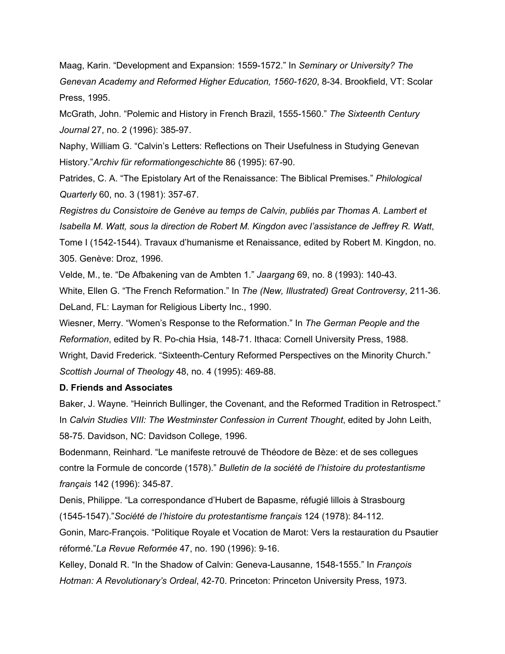Maag, Karin. "Development and Expansion: 1559-1572." In *Seminary or University? The Genevan Academy and Reformed Higher Education, 1560-1620, 8-34. Brookfield, VT: Scolar* Press, 1995.

McGrath, John. "Polemic and History in French Brazil, 15551560." *The Sixteenth Century Journal* 27, no. 2 (1996): 385-97.

Naphy, William G. "Calvin's Letters: Reflections on Their Usefulness in Studying Genevan History." Archiv für reformationgeschichte 86 (1995): 67-90.

Patrides, C. A. "The Epistolary Art of the Renaissance: The Biblical Premises." *Philological Quarterly* 60, no. 3 (1981): 357-67.

*Registres du Consistoire de Genève au temps de Calvin, publiés par Thomas A. Lambert et Isabella M. Watt, sous la direction de Robert M. Kingdon avec l'assistance de Jeffrey R. Watt*, Tome I (1542-1544). Travaux d'humanisme et Renaissance, edited by Robert M. Kingdon, no. 305. Genève: Droz, 1996.

Velde, M., te. "De Afbakening van de Ambten 1." *Jaargang* 69, no. 8 (1993): 14043. White, Ellen G. "The French Reformation." In *The (New, Illustrated) Great Controversy*, 21136. DeLand, FL: Layman for Religious Liberty Inc., 1990.

Wiesner, Merry. "Women's Response to the Reformation." In *The German People and the Reformation*, edited by R. Pochia Hsia, 14871. Ithaca: Cornell University Press, 1988. Wright, David Frederick. "Sixteenth-Century Reformed Perspectives on the Minority Church." *Scottish Journal of Theology* 48, no. 4 (1995): 469-88.

#### **D. Friends and Associates**

Baker, J. Wayne. "Heinrich Bullinger, the Covenant, and the Reformed Tradition in Retrospect." In *Calvin Studies VIII: The Westminster Confession in Current Thought*, edited by John Leith, 58-75. Davidson, NC: Davidson College, 1996.

Bodenmann, Reinhard. "Le manifeste retrouvé de Théodore de Bèze: et de ses collegues contre la Formule de concorde (1578)." *Bulletin de la société de l'histoire du protestantisme français* 142 (1996): 345-87.

Denis, Philippe. "La correspondance d'Hubert de Bapasme, réfugié lillois à Strasbourg (15451547)."*Société de l'histoire du protestantisme français* 124 (1978): 84112.

Gonin, Marc-François. "Politique Royale et Vocation de Marot: Vers la restauration du Psautier réformé."La Revue Reformée 47, no. 190 (1996): 9-16.

Kelley, Donald R. "In the Shadow of Calvin: Geneva-Lausanne, 1548-1555." In *François Hotman: A Revolutionary's Ordeal*, 4270. Princeton: Princeton University Press, 1973.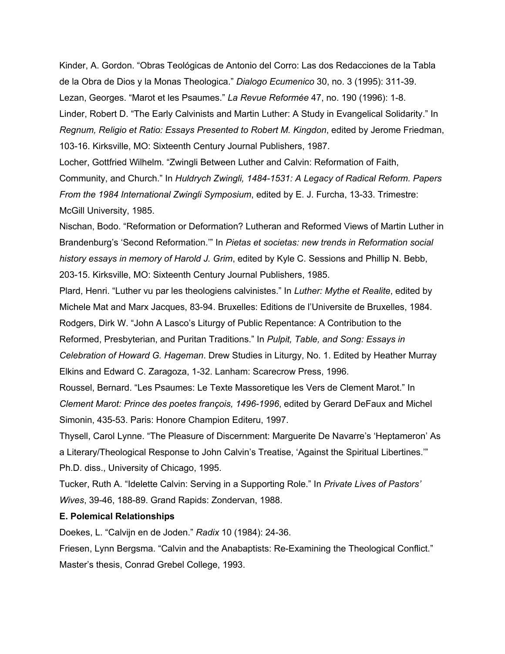Kinder, A. Gordon. "Obras Teológicas de Antonio del Corro: Las dos Redacciones de la Tabla de la Obra de Dios y la Monas Theologica." *Dialogo Ecumenico* 30, no. 3 (1995): 31139. Lezan, Georges. "Marot et les Psaumes." *La Revue Reformée* 47, no. 190 (1996): 1-8. Linder, Robert D. "The Early Calvinists and Martin Luther: A Study in Evangelical Solidarity." In *Regnum, Religio et Ratio: Essays Presented to Robert M. Kingdon*, edited by Jerome Friedman, 103-16. Kirksville, MO: Sixteenth Century Journal Publishers, 1987.

Locher, Gottfried Wilhelm. "Zwingli Between Luther and Calvin: Reformation of Faith, Community, and Church." In *Huldrych Zwingli, 14841531: A Legacy of Radical Reform. Papers From the 1984 International Zwingli Symposium, edited by E. J. Furcha, 13-33. Trimestre:* McGill University, 1985.

Nischan, Bodo. "Reformation or Deformation? Lutheran and Reformed Views of Martin Luther in Brandenburg's 'Second Reformation.'" In *Pietas et societas: new trends in Reformation social history essays in memory of Harold J. Grim*, edited by Kyle C. Sessions and Phillip N. Bebb, 203-15. Kirksville, MO: Sixteenth Century Journal Publishers, 1985.

Plard, Henri. "Luther vu par les theologiens calvinistes." In *Luther: Mythe et Realite*, edited by Michele Mat and Marx Jacques, 8394. Bruxelles: Editions de l'Universite de Bruxelles, 1984. Rodgers, Dirk W. "John A Lasco's Liturgy of Public Repentance: A Contribution to the Reformed, Presbyterian, and Puritan Traditions." In *Pulpit, Table, and Song: Essays in Celebration of Howard G. Hageman*. Drew Studies in Liturgy, No. 1. Edited by Heather Murray Elkins and Edward C. Zaragoza, 132. Lanham: Scarecrow Press, 1996.

Roussel, Bernard. "Les Psaumes: Le Texte Massoretique les Vers de Clement Marot." In *Clement Marot: Prince des poetes françois, 1496-1996, edited by Gerard DeFaux and Michel* Simonin, 435-53. Paris: Honore Champion Editeru, 1997.

Thysell, Carol Lynne. "The Pleasure of Discernment: Marguerite De Navarre's 'Heptameron' As a Literary/Theological Response to John Calvin's Treatise, 'Against the Spiritual Libertines.'" Ph.D. diss., University of Chicago, 1995.

Tucker, Ruth A. "Idelette Calvin: Serving in a Supporting Role." In *Private Lives of Pastors' Wives*, 39-46, 188-89. Grand Rapids: Zondervan, 1988.

#### **E. Polemical Relationships**

Doekes, L. "Calvijn en de Joden." *Radix* 10 (1984): 2436.

Friesen, Lynn Bergsma. "Calvin and the Anabaptists: Re-Examining the Theological Conflict." Master's thesis, Conrad Grebel College, 1993.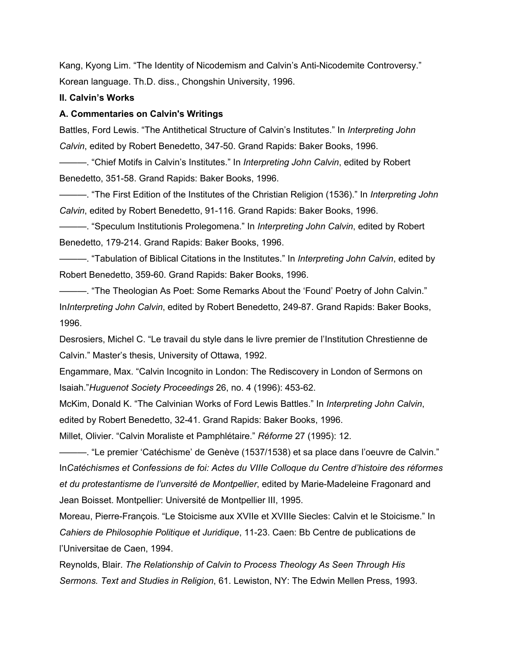Kang, Kyong Lim. "The Identity of Nicodemism and Calvin's Anti-Nicodemite Controversy." Korean language. Th.D. diss., Chongshin University, 1996.

### **II. Calvin's Works**

### **A. Commentaries on Calvin's Writings**

Battles, Ford Lewis. "The Antithetical Structure of Calvin's Institutes." In *Interpreting John Calvin*, edited by Robert Benedetto, 34750. Grand Rapids: Baker Books, 1996.

———. "Chief Motifs in Calvin's Institutes." In *Interpreting John Calvin*, edited by Robert Benedetto, 351-58. Grand Rapids: Baker Books, 1996.

———. "The First Edition of the Institutes of the Christian Religion (1536)." In *Interpreting John* Calvin, edited by Robert Benedetto, 91-116. Grand Rapids: Baker Books, 1996.

———. "Speculum Institutionis Prolegomena." In *Interpreting John Calvin*, edited by Robert Benedetto, 179-214. Grand Rapids: Baker Books, 1996.

———. "Tabulation of Biblical Citations in the Institutes." In *Interpreting John Calvin*, edited by Robert Benedetto, 359-60. Grand Rapids: Baker Books, 1996.

———. "The Theologian As Poet: Some Remarks About the 'Found' Poetry of John Calvin." In*Interpreting John Calvin*, edited by Robert Benedetto, 24987. Grand Rapids: Baker Books, 1996.

Desrosiers, Michel C. "Le travail du style dans le livre premier de l'Institution Chrestienne de Calvin." Master's thesis, University of Ottawa, 1992.

Engammare, Max. "Calvin Incognito in London: The Rediscovery in London of Sermons on **Isaiah."** Huguenot Society Proceedings 26, no. 4 (1996): 453-62.

McKim, Donald K. "The Calvinian Works of Ford Lewis Battles." In *Interpreting John Calvin*, edited by Robert Benedetto, 3241. Grand Rapids: Baker Books, 1996.

Millet, Olivier. "Calvin Moraliste et Pamphlétaire." *Réforme* 27 (1995): 12.

———. "Le premier 'Catéchisme' de Genève (1537/1538) et sa place dans l'oeuvre de Calvin." In*Catéchismes et Confessions de foi: Actes du VIIIe Colloque du Centre d'histoire des réformes et du protestantisme de l'unversité de Montpellier*, edited by Marie-Madeleine Fragonard and Jean Boisset. Montpellier: Université de Montpellier III, 1995.

Moreau, Pierre-François. "Le Stoicisme aux XVIIe et XVIIIe Siecles: Calvin et le Stoicisme." In *Cahiers de Philosophie Politique et Juridique*, 1123. Caen: Bb Centre de publications de l'Universitae de Caen, 1994.

Reynolds, Blair. *The Relationship of Calvin to Process Theology As Seen Through His Sermons. Text and Studies in Religion*, 61. Lewiston, NY: The Edwin Mellen Press, 1993.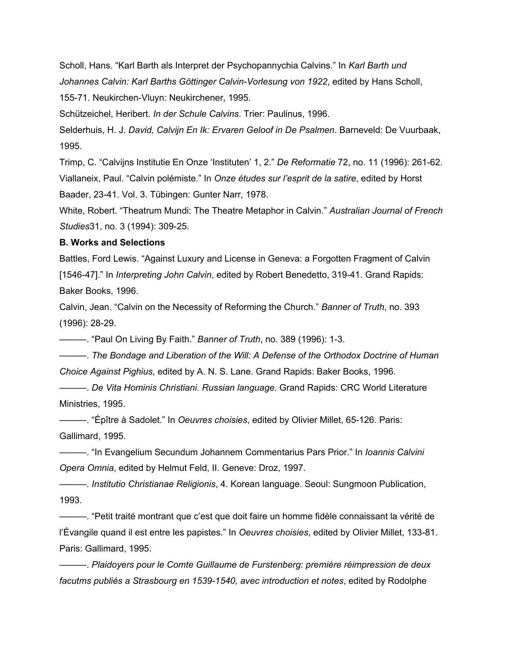Scholl, Hans. "Karl Barth als Interpret der Psychopannychia Calvins." In *Karl Barth und* Johannes Calvin: Karl Barths Göttinger Calvin-Vorlesung von 1922, edited by Hans Scholl, 155-71. Neukirchen-Vluyn: Neukirchener, 1995.

Schützeichel, Heribert. *In der Schule Calvins*. Trier: Paulinus, 1996.

Selderhuis, H. J. *David, Calvijn En Ik: Ervaren Geloof in De Psalmen*. Barneveld: De Vuurbaak, 1995.

Trimp, C. "Calvijns Institutie En Onze 'Instituten' 1, 2." *De Reformatie* 72, no. 11 (1996): 26162. Viallaneix, Paul. "Calvin polémiste." In *Onze études sur l'esprit de la satire*, edited by Horst Baader, 2341. Vol. 3. Tübingen: Gunter Narr, 1978.

White, Robert. "Theatrum Mundi: The Theatre Metaphor in Calvin." *Australian Journal of French Studies* 31, no. 3 (1994): 309-25.

#### **B. Works and Selections**

Battles, Ford Lewis. "Against Luxury and License in Geneva: a Forgotten Fragment of Calvin [154647]." In *Interpreting John Calvin*, edited by Robert Benedetto, 31941. Grand Rapids: Baker Books, 1996.

Calvin, Jean. "Calvin on the Necessity of Reforming the Church." *Banner of Truth*, no. 393  $(1996): 28-29.$ 

———. "Paul On Living By Faith." *Banner of Truth*, no. 389 (1996): 1-3.

———. *The Bondage and Liberation of the Will: A Defense of the Orthodox Doctrine of Human Choice Against Pighius*, edited by A. N. S. Lane. Grand Rapids: Baker Books, 1996.

———. *De Vita Hominis Christiani. Russian language*. Grand Rapids: CRC World Literature Ministries, 1995.

———. "Épître à Sadolet." In *Oeuvres choisies*, edited by Olivier Millet, 65126. Paris: Gallimard, 1995.

———. "In Evangelium Secundum Johannem Commentarius Pars Prior." In *Ioannis Calvini Opera Omnia*, edited by Helmut Feld, II. Geneve: Droz, 1997.

———. *Institutio Christianae Religionis*, 4. Korean language. Seoul: Sungmoon Publication, 1993.

———. "Petit traité montrant que c'est que doit faire un homme fidèle connaissant la vérité de l'Évangile quand il est entre les papistes." In *Oeuvres choisies*, edited by Olivier Millet, 133-81. Paris: Gallimard, 1995.

———. *Plaidoyers pour le Comte Guillaume de Furstenberg: première réimpression de deux facutms publiés a Strasbourg en 15391540, avec introduction et notes*, edited by Rodolphe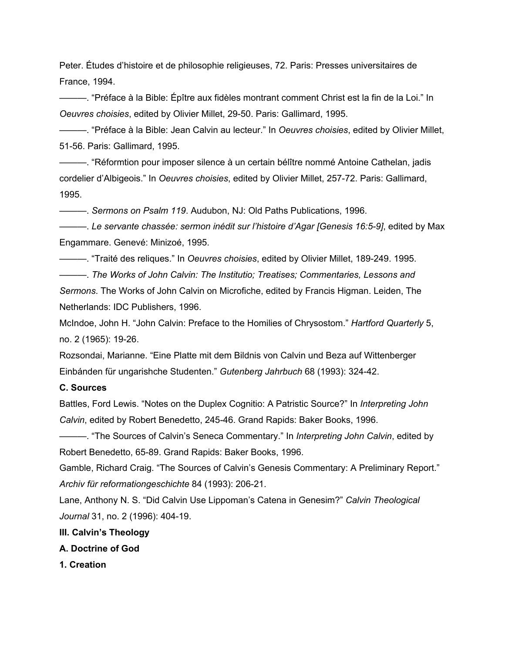Peter. Études d'histoire et de philosophie religieuses, 72. Paris: Presses universitaires de France, 1994.

———. "Préface à la Bible: Épître aux fidèles montrant comment Christ est la fin de la Loi." In **Oeuvres choisies, edited by Olivier Millet, 29-50. Paris: Gallimard, 1995.** 

———. "Préface à la Bible: Jean Calvin au lecteur." In *Oeuvres choisies*, edited by Olivier Millet, 5156. Paris: Gallimard, 1995.

———. "Réformtion pour imposer silence à un certain bélître nommé Antoine Cathelan, jadis cordelier d'Albigeois." In *Oeuvres choisies*, edited by Olivier Millet, 25772. Paris: Gallimard, 1995.

———. *Sermons on Psalm 119*. Audubon, NJ: Old Paths Publications, 1996.

———. *Le servante chassée: sermon inédit sur l'histoire d'Agar [Genesis 16:59]*, edited by Max Engammare. Genevé: Minizoé, 1995.

———. "Traité des reliques." In *Oeuvres choisies*, edited by Olivier Millet, 189249. 1995.

———. *The Works of John Calvin: The Institutio; Treatises; Commentaries, Lessons and Sermons*. The Works of John Calvin on Microfiche, edited by Francis Higman. Leiden, The Netherlands: IDC Publishers, 1996.

McIndoe, John H. "John Calvin: Preface to the Homilies of Chrysostom." *Hartford Quarterly* 5, no. 2 (1965): 19-26.

Rozsondai, Marianne. "Eine Platte mit dem Bildnis von Calvin und Beza auf Wittenberger Einbánden für ungarishche Studenten." *Gutenberg Jahrbuch* 68 (1993): 32442.

#### **C. Sources**

Battles, Ford Lewis. "Notes on the Duplex Cognitio: A Patristic Source?" In *Interpreting John Calvin*, edited by Robert Benedetto, 24546. Grand Rapids: Baker Books, 1996.

———. "The Sources of Calvin's Seneca Commentary." In *Interpreting John Calvin*, edited by Robert Benedetto, 65-89. Grand Rapids: Baker Books, 1996.

Gamble, Richard Craig. "The Sources of Calvin's Genesis Commentary: A Preliminary Report." Archiv für reformationgeschichte 84 (1993): 206-21.

Lane, Anthony N. S. "Did Calvin Use Lippoman's Catena in Genesim?" *Calvin Theological Journal* 31, no. 2 (1996): 404-19.

**III. Calvin's Theology**

- **A. Doctrine of God**
- **1. Creation**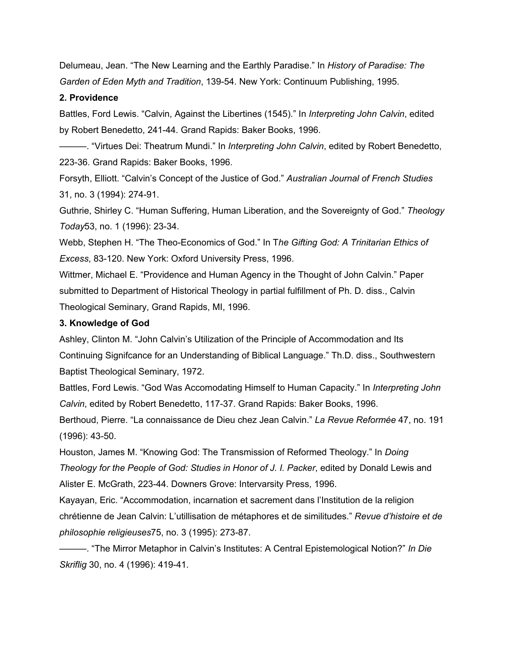Delumeau, Jean. "The New Learning and the Earthly Paradise." In *History of Paradise: The Garden of Eden Myth and Tradition*, 13954. New York: Continuum Publishing, 1995.

#### **2. Providence**

Battles, Ford Lewis. "Calvin, Against the Libertines (1545)." In *Interpreting John Calvin*, edited by Robert Benedetto, 241-44. Grand Rapids: Baker Books, 1996.

———. "Virtues Dei: Theatrum Mundi." In *Interpreting John Calvin*, edited by Robert Benedetto, 223-36. Grand Rapids: Baker Books, 1996.

Forsyth, Elliott. "Calvin's Concept of the Justice of God." *Australian Journal of French Studies* 31, no. 3 (1994): 274-91.

Guthrie, Shirley C. "Human Suffering, Human Liberation, and the Sovereignty of God." *Theology* Today<sub>53</sub>, no. 1 (1996): 23-34.

Webb, Stephen H. "The Theo-Economics of God." In The Gifting God: A Trinitarian Ethics of Excess, 83-120. New York: Oxford University Press, 1996.

Wittmer, Michael E. "Providence and Human Agency in the Thought of John Calvin." Paper submitted to Department of Historical Theology in partial fulfillment of Ph. D. diss., Calvin Theological Seminary, Grand Rapids, MI, 1996.

#### **3. Knowledge of God**

Ashley, Clinton M. "John Calvin's Utilization of the Principle of Accommodation and Its Continuing Signifcance for an Understanding of Biblical Language." Th.D. diss., Southwestern Baptist Theological Seminary, 1972.

Battles, Ford Lewis. "God Was Accomodating Himself to Human Capacity." In *Interpreting John* Calvin, edited by Robert Benedetto, 117-37. Grand Rapids: Baker Books, 1996.

Berthoud, Pierre. "La connaissance de Dieu chez Jean Calvin." *La Revue Reformée* 47, no. 191  $(1996): 43-50.$ 

Houston, James M. "Knowing God: The Transmission of Reformed Theology." In *Doing Theology for the People of God: Studies in Honor of J. I. Packer*, edited by Donald Lewis and Alister E. McGrath, 223-44. Downers Grove: Intervarsity Press, 1996.

Kayayan, Eric. "Accommodation, incarnation et sacrement dans l'Institution de la religion chrétienne de Jean Calvin: L'utillisation de métaphores et de similitudes." *Revue d'histoire et de philosophie religieuses* 75, no. 3 (1995): 273-87.

———. "The Mirror Metaphor in Calvin's Institutes: A Central Epistemological Notion?" *In Die Skriflig* 30, no. 4 (1996): 419-41.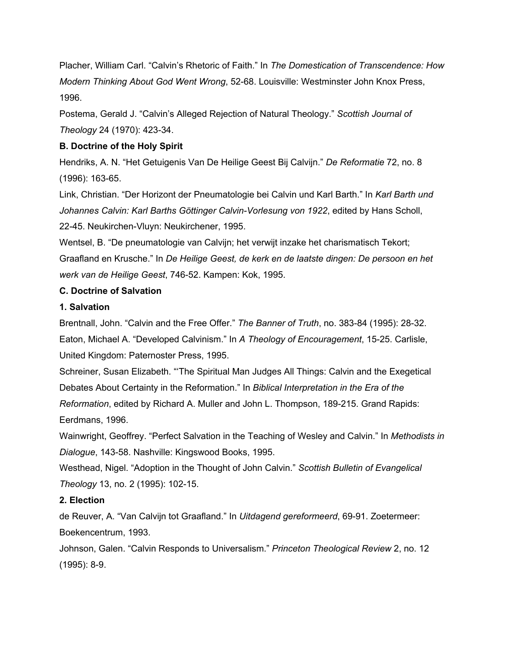Placher, William Carl. "Calvin's Rhetoric of Faith." In *The Domestication of Transcendence: How Modern Thinking About God Went Wrong*, 52-68. Louisville: Westminster John Knox Press, 1996.

Postema, Gerald J. "Calvin's Alleged Rejection of Natural Theology." *Scottish Journal of Theology* 24 (1970): 423-34.

# **B. Doctrine of the Holy Spirit**

Hendriks, A. N. "Het Getuigenis Van De Heilige Geest Bij Calvijn." *De Reformatie* 72, no. 8  $(1996): 163-65.$ 

Link, Christian. "Der Horizont der Pneumatologie bei Calvin und Karl Barth." In *Karl Barth und Johannes Calvin: Karl Barths Göttinger CalvinVorlesung von 1922*, edited by Hans Scholl, 22-45. Neukirchen-Vluyn: Neukirchener, 1995.

Wentsel, B. "De pneumatologie van Calvijn; het verwijt inzake het charismatisch Tekort; Graafland en Krusche." In *De Heilige Geest, de kerk en de laatste dingen: De persoon en het werk van de Heilige Geest, 746-52. Kampen: Kok, 1995.* 

# **C. Doctrine of Salvation**

# **1. Salvation**

Brentnall, John. "Calvin and the Free Offer." *The Banner of Truth*, no. 383-84 (1995): 28-32. Eaton, Michael A. "Developed Calvinism." In *A Theology of Encouragement*, 1525. Carlisle, United Kingdom: Paternoster Press, 1995.

Schreiner, Susan Elizabeth. "'The Spiritual Man Judges All Things: Calvin and the Exegetical Debates About Certainty in the Reformation." In *Biblical Interpretation in the Era of the Reformation*, edited by Richard A. Muller and John L. Thompson, 189-215. Grand Rapids: Eerdmans, 1996.

Wainwright, Geoffrey. "Perfect Salvation in the Teaching of Wesley and Calvin." In *Methodists in* Dialogue, 143-58. Nashville: Kingswood Books, 1995.

Westhead, Nigel. "Adoption in the Thought of John Calvin." *Scottish Bulletin of Evangelical Theology* 13, no. 2 (1995): 102-15.

# **2. Election**

de Reuver, A. "Van Calvijn tot Graafland." In *Uitdagend gereformeerd*, 6991. Zoetermeer: Boekencentrum, 1993.

Johnson, Galen. "Calvin Responds to Universalism." *Princeton Theological Review* 2, no. 12  $(1995): 8-9.$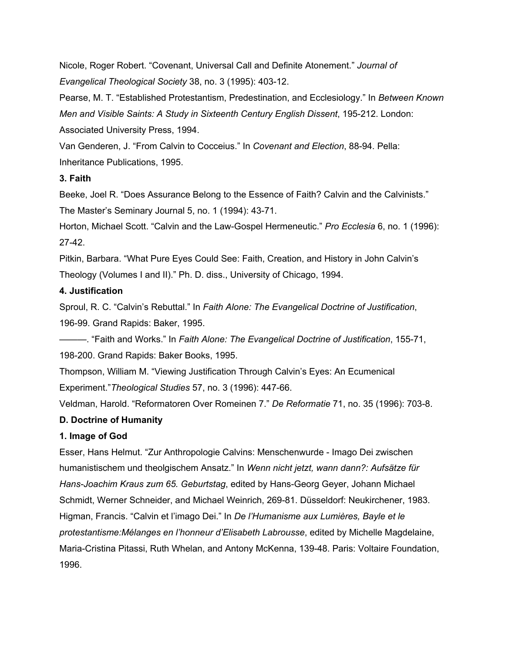Nicole, Roger Robert. "Covenant, Universal Call and Definite Atonement." *Journal of Evangelical Theological Society* 38, no. 3 (1995): 403-12.

Pearse, M. T. "Established Protestantism, Predestination, and Ecclesiology." In *Between Known Men and Visible Saints: A Study in Sixteenth Century English Dissent*, 195212. London: Associated University Press, 1994.

Van Genderen, J. "From Calvin to Cocceius." In *Covenant and Election*, 8894. Pella: Inheritance Publications, 1995.

# **3. Faith**

Beeke, Joel R. "Does Assurance Belong to the Essence of Faith? Calvin and the Calvinists." The Master's Seminary Journal 5, no. 1 (1994): 43-71.

Horton, Michael Scott. "Calvin and the Law-Gospel Hermeneutic." *Pro Ecclesia* 6, no. 1 (1996):  $27-42.$ 

Pitkin, Barbara. "What Pure Eyes Could See: Faith, Creation, and History in John Calvin's Theology (Volumes I and II)." Ph. D. diss., University of Chicago, 1994.

# **4. Justification**

Sproul, R. C. "Calvin's Rebuttal." In *Faith Alone: The Evangelical Doctrine of Justification*, 19699. Grand Rapids: Baker, 1995.

———. "Faith and Works." In *Faith Alone: The Evangelical Doctrine of Justification*, 15571, 198-200. Grand Rapids: Baker Books, 1995.

Thompson, William M. "Viewing Justification Through Calvin's Eyes: An Ecumenical Experiment."*Theological Studies* 57, no. 3 (1996): 44766.

Veldman, Harold. "Reformatoren Over Romeinen 7." *De Reformatie* 71, no. 35 (1996): 703-8.

# **D. Doctrine of Humanity**

# **1. Image of God**

Esser, Hans Helmut. "Zur Anthropologie Calvins: Menschenwurde Imago Dei zwischen humanistischem und theolgischem Ansatz." In *Wenn nicht jetzt, wann dann?: Aufsätze für Hans-Joachim Kraus zum 65. Geburtstag, edited by Hans-Georg Geyer, Johann Michael* Schmidt, Werner Schneider, and Michael Weinrich, 269-81. Düsseldorf: Neukirchener, 1983. Higman, Francis. "Calvin et l'imago Dei." In *De l'Humanisme aux Lumières, Bayle et le protestantisme:Mélanges en l'honneur d'Elisabeth Labrousse*, edited by Michelle Magdelaine, Maria-Cristina Pitassi, Ruth Whelan, and Antony McKenna, 139-48. Paris: Voltaire Foundation, 1996.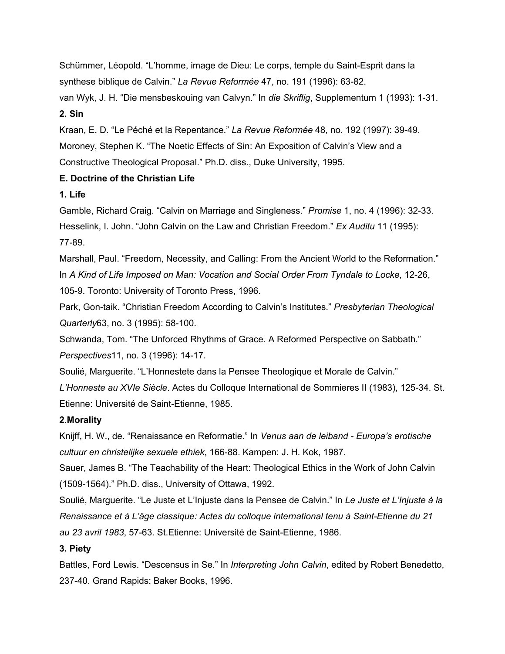Schümmer, Léopold. "L'homme, image de Dieu: Le corps, temple du Saint-Esprit dans la synthese biblique de Calvin." La Revue Reformée 47, no. 191 (1996): 63-82.

van Wyk, J. H. "Die mensbeskouing van Calvyn." In *die Skriflig*, Supplementum 1 (1993): 131. **2. Sin**

Kraan, E. D. "Le Péché et la Repentance." *La Revue Reformée* 48, no. 192 (1997): 3949. Moroney, Stephen K. "The Noetic Effects of Sin: An Exposition of Calvin's View and a Constructive Theological Proposal." Ph.D. diss., Duke University, 1995.

# **E. Doctrine of the Christian Life**

# **1. Life**

Gamble, Richard Craig. "Calvin on Marriage and Singleness." *Promise* 1, no. 4 (1996): 3233. Hesselink, I. John. "John Calvin on the Law and Christian Freedom." *Ex Auditu* 11 (1995): 77-89.

Marshall, Paul. "Freedom, Necessity, and Calling: From the Ancient World to the Reformation." In *A Kind of Life Imposed on Man: Vocation and Social Order From Tyndale to Locke*, 1226, 105-9. Toronto: University of Toronto Press, 1996.

Park, Gon-taik. "Christian Freedom According to Calvin's Institutes." *Presbyterian Theological Quarterly*63, no. 3 (1995): 58-100.

Schwanda, Tom. "The Unforced Rhythms of Grace. A Reformed Perspective on Sabbath." *Perspectives*<sup>11</sup>, no. 3 (1996): 14-17.

Soulié, Marguerite. "L'Honnestete dans la Pensee Theologique et Morale de Calvin."

L'Honneste au XVIe Siècle. Actes du Colloque International de Sommieres II (1983), 125-34. St. Etienne: Université de Saint-Etienne, 1985.

# **2**.**Morality**

Knijff, H. W., de. "Renaissance en Reformatie." In *Venus aan de leiband Europa's erotische cultuur en christelijke sexuele ethiek*, 16688. Kampen: J. H. Kok, 1987.

Sauer, James B. "The Teachability of the Heart: Theological Ethics in the Work of John Calvin (1509-1564)." Ph.D. diss., University of Ottawa, 1992.

Soulié, Marguerite. "Le Juste et L'Injuste dans la Pensee de Calvin." In *Le Juste et L'Injuste à la Renaissance et à L'âge classique: Actes du colloque international tenu à Saint-Etienne du 21* au 23 avril 1983, 57-63. St. Etienne: Université de Saint-Etienne, 1986.

# **3. Piety**

Battles, Ford Lewis. "Descensus in Se." In *Interpreting John Calvin*, edited by Robert Benedetto, 23740. Grand Rapids: Baker Books, 1996.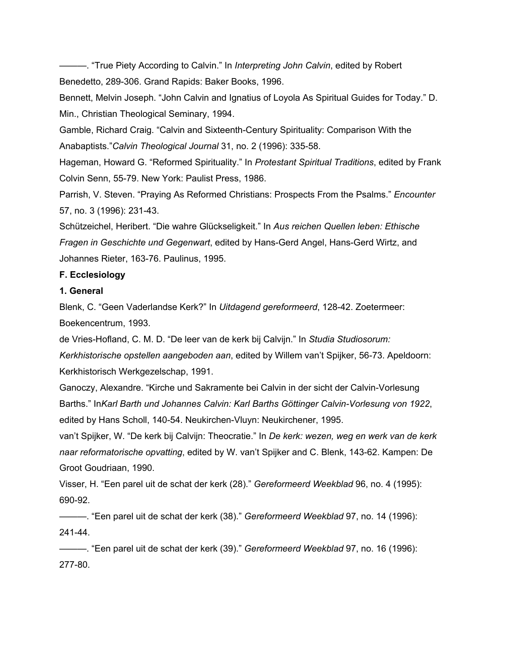———. "True Piety According to Calvin." In *Interpreting John Calvin*, edited by Robert Benedetto, 289-306. Grand Rapids: Baker Books, 1996.

Bennett, Melvin Joseph. "John Calvin and Ignatius of Loyola As Spiritual Guides for Today." D. Min., Christian Theological Seminary, 1994.

Gamble, Richard Craig. "Calvin and Sixteenth-Century Spirituality: Comparison With the Anabaptists."Calvin Theological Journal 31, no. 2 (1996): 335-58.

Hageman, Howard G. "Reformed Spirituality." In *Protestant Spiritual Traditions*, edited by Frank Colvin Senn, 55-79. New York: Paulist Press, 1986.

Parrish, V. Steven. "Praying As Reformed Christians: Prospects From the Psalms." *Encounter* 57, no. 3 (1996): 231-43.

Schützeichel, Heribert. "Die wahre Glückseligkeit." In *Aus reichen Quellen leben: Ethische* Fragen in Geschichte und Gegenwart, edited by Hans-Gerd Angel, Hans-Gerd Wirtz, and Johannes Rieter, 163-76. Paulinus, 1995.

#### **F. Ecclesiology**

#### **1. General**

Blenk, C. "Geen Vaderlandse Kerk?" In *Uitdagend gereformeerd*, 12842. Zoetermeer: Boekencentrum, 1993.

de VriesHofland, C. M. D. "De leer van de kerk bij Calvijn." In *Studia Studiosorum:*

*Kerkhistorische opstellen aangeboden aan*, edited by Willem van't Spijker, 5673. Apeldoorn: Kerkhistorisch Werkgezelschap, 1991.

Ganoczy, Alexandre. "Kirche und Sakramente bei Calvin in der sicht der Calvin-Vorlesung Barths." In*Karl Barth und Johannes Calvin: Karl Barths Göttinger Calvin-Vorlesung von 1922,* edited by Hans Scholl, 140-54. Neukirchen-Vluyn: Neukirchener, 1995.

van't Spijker, W. "De kerk bij Calvijn: Theocratie." In *De kerk: wezen, weg en werk van de kerk* naar reformatorische opvatting, edited by W. van't Spijker and C. Blenk, 143-62. Kampen: De Groot Goudriaan, 1990.

Visser, H. "Een parel uit de schat der kerk (28)." *Gereformeerd Weekblad* 96, no. 4 (1995): 690-92.

———. "Een parel uit de schat der kerk (38)." *Gereformeerd Weekblad* 97, no. 14 (1996):  $241 - 44$ .

———. "Een parel uit de schat der kerk (39)." *Gereformeerd Weekblad* 97, no. 16 (1996): 27780.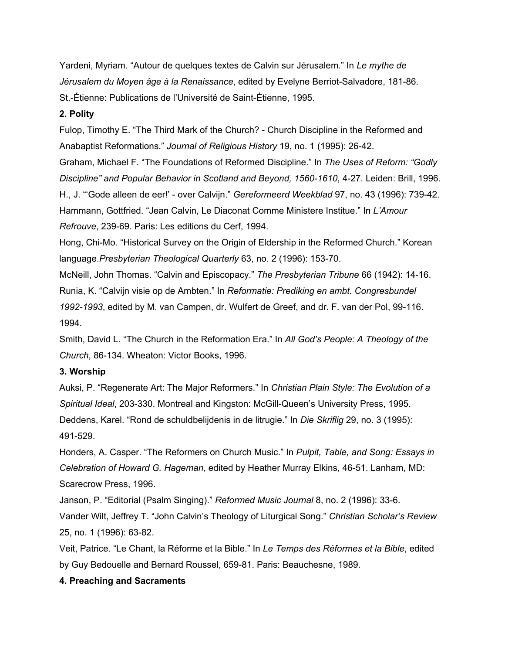Yardeni, Myriam. "Autour de quelques textes de Calvin sur Jérusalem." In *Le mythe de* Jérusalem du Moyen âge à la Renaissance, edited by Evelyne Berriot-Salvadore, 181-86. St.-Étienne: Publications de l'Université de Saint-Étienne, 1995.

# **2. Polity**

Fulop, Timothy E. "The Third Mark of the Church? Church Discipline in the Reformed and Anabaptist Reformations." *Journal of Religious History* 19, no. 1 (1995): 2642. Graham, Michael F. "The Foundations of Reformed Discipline." In *The Uses of Reform: "Godly Discipline" and Popular Behavior in Scotland and Beyond, 15601610*, 427. Leiden: Brill, 1996. H., J. "Gode alleen de eer!' - over Calvijn." *Gereformeerd Weekblad* 97, no. 43 (1996): 739-42. Hammann, Gottfried. "Jean Calvin, Le Diaconat Comme Ministere Institue." In *L'Amour Refrouve*, 239-69. Paris: Les editions du Cerf, 1994.

Hong, Chi-Mo. "Historical Survey on the Origin of Eldership in the Reformed Church." Korean language.*Presbyterian Theological Quarterly* 63, no. 2 (1996): 153-70.

McNeill, John Thomas. "Calvin and Episcopacy." *The Presbyterian Tribune* 66 (1942): 1416. Runia, K. "Calvijn visie op de Ambten." In *Reformatie: Prediking en ambt. Congresbundel* 1992-1993, edited by M. van Campen, dr. Wulfert de Greef, and dr. F. van der Pol, 99-116. 1994.

Smith, David L. "The Church in the Reformation Era." In *All God's People: A Theology of the* Church, 86-134. Wheaton: Victor Books, 1996.

# **3. Worship**

Auksi, P. "Regenerate Art: The Major Reformers." In *Christian Plain Style: The Evolution of a* Spiritual Ideal, 203-330. Montreal and Kingston: McGill-Queen's University Press, 1995. Deddens, Karel. "Rond de schuldbelijdenis in de litrugie." In *Die Skriflig* 29, no. 3 (1995): 491-529.

Honders, A. Casper. "The Reformers on Church Music." In *Pulpit, Table, and Song: Essays in Celebration of Howard G. Hageman*, edited by Heather Murray Elkins, 4651. Lanham, MD: Scarecrow Press, 1996.

Janson, P. "Editorial (Psalm Singing)." *Reformed Music Journal* 8, no. 2 (1996): 336. Vander Wilt, Jeffrey T. "John Calvin's Theology of Liturgical Song." *Christian Scholar's Review* 25, no. 1 (1996): 63-82.

Veit, Patrice. "Le Chant, la Réforme et la Bible." In *Le Temps des Réformes et la Bible*, edited by Guy Bedouelle and Bernard Roussel, 65981. Paris: Beauchesne, 1989.

# **4. Preaching and Sacraments**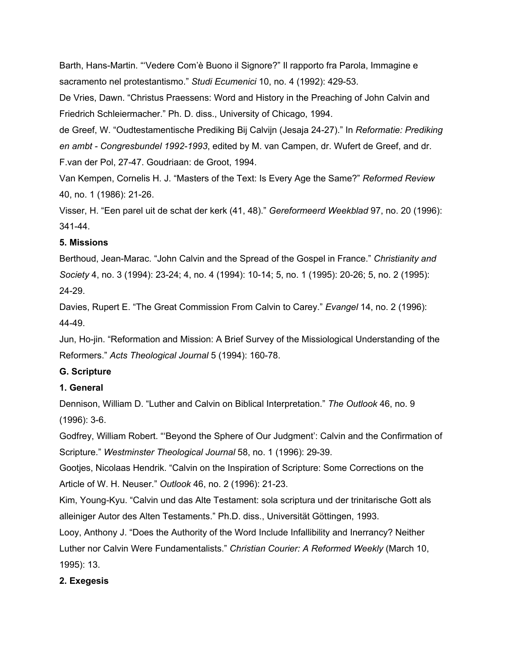Barth, Hans-Martin. "'Vedere Com'è Buono il Signore?" Il rapporto fra Parola, Immagine e sacramento nel protestantismo." Studi Ecumenici 10, no. 4 (1992): 429-53.

De Vries, Dawn. "Christus Praessens: Word and History in the Preaching of John Calvin and Friedrich Schleiermacher." Ph. D. diss., University of Chicago, 1994.

de Greef, W. "Oudtestamentische Prediking Bij Calvijn (Jesaja 2427)." In *Reformatie: Prediking en ambt Congresbundel 19921993*, edited by M. van Campen, dr. Wufert de Greef, and dr. F.van der Pol, 2747. Goudriaan: de Groot, 1994.

Van Kempen, Cornelis H. J. "Masters of the Text: Is Every Age the Same?" *Reformed Review* 40, no. 1 (1986): 21-26.

Visser, H. "Een parel uit de schat der kerk (41, 48)." *Gereformeerd Weekblad* 97, no. 20 (1996): 341-44.

# **5. Missions**

Berthoud, Jean-Marac. "John Calvin and the Spread of the Gospel in France." Christianity and *Society* 4, no. 3 (1994): 23-24; 4, no. 4 (1994): 10-14; 5, no. 1 (1995): 20-26; 5, no. 2 (1995): 24-29.

Davies, Rupert E. "The Great Commission From Calvin to Carey." *Evangel* 14, no. 2 (1996): 4449.

Jun, Hojin. "Reformation and Mission: A Brief Survey of the Missiological Understanding of the Reformers." *Acts Theological Journal* 5 (1994): 16078.

# **G. Scripture**

# **1. General**

Dennison, William D. "Luther and Calvin on Biblical Interpretation." *The Outlook* 46, no. 9  $(1996): 3-6.$ 

Godfrey, William Robert. "'Beyond the Sphere of Our Judgment': Calvin and the Confirmation of Scripture." *Westminster Theological Journal* 58, no. 1 (1996): 29-39.

Gootjes, Nicolaas Hendrik. "Calvin on the Inspiration of Scripture: Some Corrections on the Article of W. H. Neuser." Outlook 46, no. 2 (1996): 21-23.

Kim, Young-Kyu. "Calvin und das Alte Testament: sola scriptura und der trinitarische Gott als alleiniger Autor des Alten Testaments." Ph.D. diss., Universität Göttingen, 1993.

Looy, Anthony J. "Does the Authority of the Word Include Infallibility and Inerrancy? Neither Luther nor Calvin Were Fundamentalists." *Christian Courier: A Reformed Weekly* (March 10, 1995): 13.

# **2. Exegesis**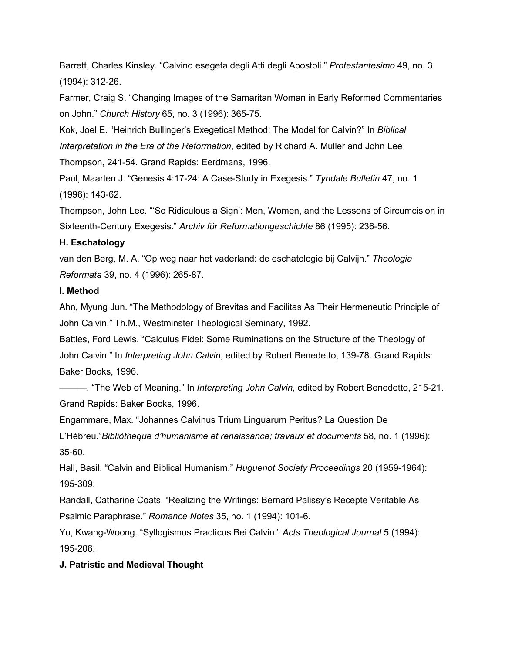Barrett, Charles Kinsley. "Calvino esegeta degli Atti degli Apostoli." *Protestantesimo* 49, no. 3 (1994): 312-26.

Farmer, Craig S. "Changing Images of the Samaritan Woman in Early Reformed Commentaries on John." *Church History* 65, no. 3 (1996): 36575.

Kok, Joel E. "Heinrich Bullinger's Exegetical Method: The Model for Calvin?" In *Biblical Interpretation in the Era of the Reformation*, edited by Richard A. Muller and John Lee Thompson, 24154. Grand Rapids: Eerdmans, 1996.

Paul, Maarten J. "Genesis 4:17-24: A Case-Study in Exegesis." *Tyndale Bulletin* 47, no. 1 (1996): 143-62.

Thompson, John Lee. "'So Ridiculous a Sign': Men, Women, and the Lessons of Circumcision in Sixteenth-Century Exegesis." *Archiv für Reformationgeschichte* 86 (1995): 236-56.

### **H. Eschatology**

van den Berg, M. A. "Op weg naar het vaderland: de eschatologie bij Calvijn." *Theologia Reformata* 39, no. 4 (1996): 265-87.

#### **I. Method**

Ahn, Myung Jun. "The Methodology of Brevitas and Facilitas As Their Hermeneutic Principle of John Calvin." Th.M., Westminster Theological Seminary, 1992.

Battles, Ford Lewis. "Calculus Fidei: Some Ruminations on the Structure of the Theology of John Calvin." In *Interpreting John Calvin*, edited by Robert Benedetto, 139-78. Grand Rapids: Baker Books, 1996.

———. "The Web of Meaning." In *Interpreting John Calvin*, edited by Robert Benedetto, 21521. Grand Rapids: Baker Books, 1996.

Engammare, Max. "Johannes Calvinus Trium Linguarum Peritus? La Question De

L'Hébreu."*Bibliòtheque d'humanisme et renaissance; travaux et documents* 58, no. 1 (1996):  $35-60.$ 

Hall, Basil. "Calvin and Biblical Humanism." *Huguenot Society Proceedings* 20 (1959-1964): 195-309.

Randall, Catharine Coats. "Realizing the Writings: Bernard Palissy's Recepte Veritable As Psalmic Paraphrase." *Romance Notes* 35, no. 1 (1994): 1016.

Yu, Kwang-Woong. "Syllogismus Practicus Bei Calvin." *Acts Theological Journal* 5 (1994): 195-206.

# **J. Patristic and Medieval Thought**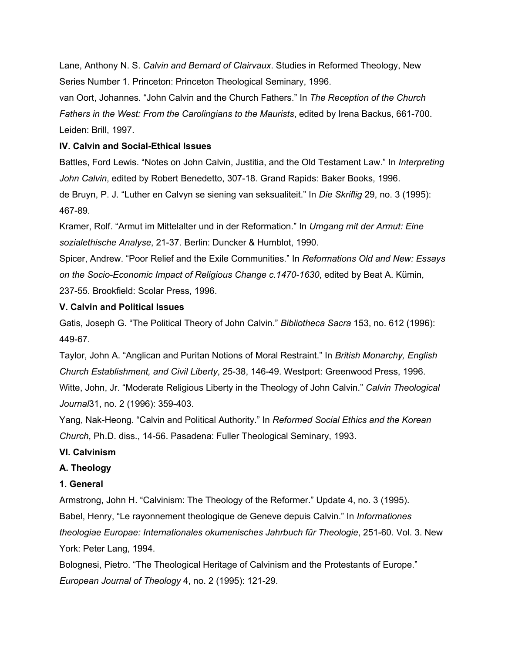Lane, Anthony N. S. *Calvin and Bernard of Clairvaux*. Studies in Reformed Theology, New Series Number 1. Princeton: Princeton Theological Seminary, 1996.

van Oort, Johannes. "John Calvin and the Church Fathers." In *The Reception of the Church Fathers in the West: From the Carolingians to the Maurists*, edited by Irena Backus, 661700. Leiden: Brill, 1997.

# **IV. Calvin and SocialEthical Issues**

Battles, Ford Lewis. "Notes on John Calvin, Justitia, and the Old Testament Law." In *Interpreting* John Calvin, edited by Robert Benedetto, 307-18. Grand Rapids: Baker Books, 1996.

de Bruyn, P. J. "Luther en Calvyn se siening van seksualiteit." In *Die Skriflig* 29, no. 3 (1995): 467-89.

Kramer, Rolf. "Armut im Mittelalter und in der Reformation." In *Umgang mit der Armut: Eine sozialethische Analyse*, 2137. Berlin: Duncker & Humblot, 1990.

Spicer, Andrew. "Poor Relief and the Exile Communities." In *Reformations Old and New: Essays on the Socio-Economic Impact of Religious Change <i>c.1470-1630*, edited by Beat A. Kümin, 237-55. Brookfield: Scolar Press, 1996.

# **V. Calvin and Political Issues**

Gatis, Joseph G. "The Political Theory of John Calvin." *Bibliotheca Sacra* 153, no. 612 (1996): 449-67.

Taylor, John A. "Anglican and Puritan Notions of Moral Restraint." In *British Monarchy, English Church Establishment, and Civil Liberty*, 2538, 14649. Westport: Greenwood Press, 1996. Witte, John, Jr. "Moderate Religious Liberty in the Theology of John Calvin." *Calvin Theological Journal*31, no. 2 (1996): 359-403.

Yang, NakHeong. "Calvin and Political Authority." In *Reformed Social Ethics and the Korean Church*, Ph.D. diss., 1456. Pasadena: Fuller Theological Seminary, 1993.

# **VI. Calvinism**

# **A. Theology**

# **1. General**

Armstrong, John H. "Calvinism: The Theology of the Reformer." Update 4, no. 3 (1995). Babel, Henry, "Le rayonnement theologique de Geneve depuis Calvin." In *Informationes theologiae Europae: Internationales okumenisches Jahrbuch für Theologie, 251-60. Vol. 3. New* York: Peter Lang, 1994.

Bolognesi, Pietro. "The Theological Heritage of Calvinism and the Protestants of Europe." *European Journal of Theology* 4, no. 2 (1995): 121-29.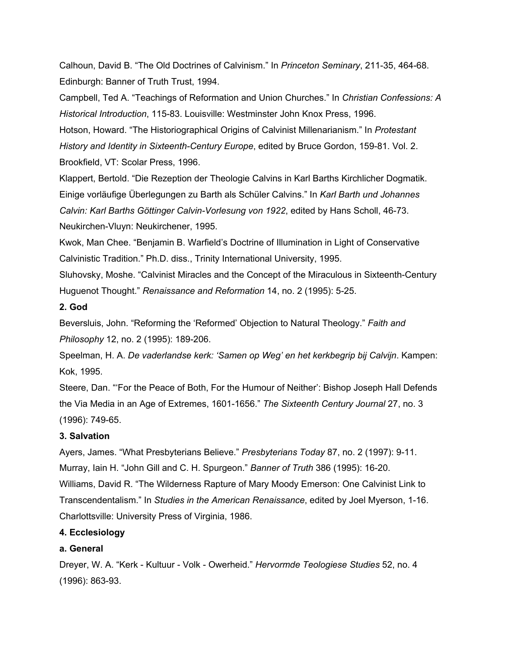Calhoun, David B. "The Old Doctrines of Calvinism." In *Princeton Seminary*, 21135, 46468. Edinburgh: Banner of Truth Trust, 1994.

Campbell, Ted A. "Teachings of Reformation and Union Churches." In *Christian Confessions: A Historical Introduction, 115-83. Louisville: Westminster John Knox Press, 1996.* 

Hotson, Howard. "The Historiographical Origins of Calvinist Millenarianism." In *Protestant History and Identity in Sixteenth-Century Europe*, edited by Bruce Gordon, 159-81. Vol. 2. Brookfield, VT: Scolar Press, 1996.

Klappert, Bertold. "Die Rezeption der Theologie Calvins in Karl Barths Kirchlicher Dogmatik. Einige vorläufige Überlegungen zu Barth als Schüler Calvins." In *Karl Barth und Johannes Calvin: Karl Barths Göttinger Calvin-Vorlesung von 1922, edited by Hans Scholl, 46-73.* Neukirchen-Vluyn: Neukirchener, 1995.

Kwok, Man Chee. "Benjamin B. Warfield's Doctrine of Illumination in Light of Conservative Calvinistic Tradition." Ph.D. diss., Trinity International University, 1995.

Sluhovsky, Moshe. "Calvinist Miracles and the Concept of the Miraculous in Sixteenth-Century Huguenot Thought." *Renaissance and Reformation* 14, no. 2 (1995): 5-25.

#### **2. God**

Beversluis, John. "Reforming the 'Reformed' Objection to Natural Theology." *Faith and Philosophy* 12, no. 2 (1995): 189-206.

Speelman, H. A. *De vaderlandse kerk: 'Samen op Weg' en het kerkbegrip bij Calvijn*. Kampen: Kok, 1995.

Steere, Dan. "'For the Peace of Both, For the Humour of Neither': Bishop Joseph Hall Defends the Via Media in an Age of Extremes, 1601-1656." The Sixteenth Century Journal 27, no. 3 (1996): 749-65.

# **3. Salvation**

Ayers, James. "What Presbyterians Believe." *Presbyterians Today* 87, no. 2 (1997): 9-11. Murray, Iain H. "John Gill and C. H. Spurgeon." *Banner of Truth* 386 (1995): 1620. Williams, David R. "The Wilderness Rapture of Mary Moody Emerson: One Calvinist Link to Transcendentalism." In *Studies in the American Renaissance*, edited by Joel Myerson, 116. Charlottsville: University Press of Virginia, 1986.

# **4. Ecclesiology**

# **a. General**

Dreyer, W. A. "Kerk Kultuur Volk Owerheid." *Hervormde Teologiese Studies* 52, no. 4 (1996): 863-93.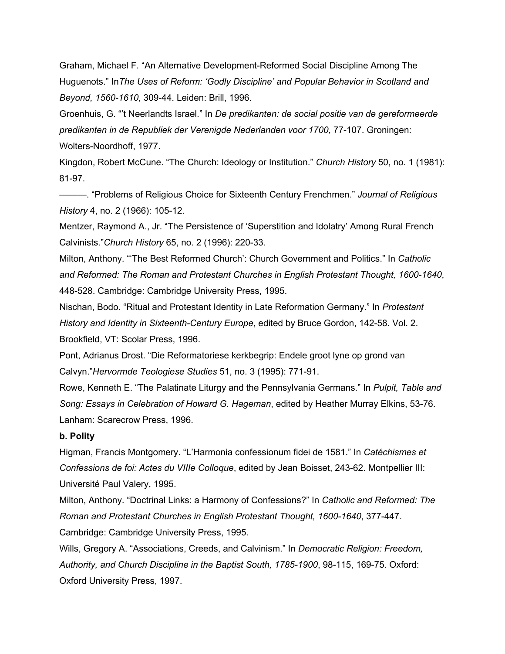Graham, Michael F. "An Alternative Development-Reformed Social Discipline Among The Huguenots." In*The Uses of Reform: 'Godly Discipline' and Popular Behavior in Scotland and Beyond, 15601610*, 30944. Leiden: Brill, 1996.

Groenhuis, G. "'t Neerlandts Israel." In *De predikanten: de social positie van de gereformeerde predikanten in de Republiek der Verenigde Nederlanden voor 1700, 77-107. Groningen:* Wolters-Noordhoff, 1977.

Kingdon, Robert McCune. "The Church: Ideology or Institution." *Church History* 50, no. 1 (1981): 81-97.

———. "Problems of Religious Choice for Sixteenth Century Frenchmen." *Journal of Religious History* 4, no. 2 (1966): 105-12.

Mentzer, Raymond A., Jr. "The Persistence of 'Superstition and Idolatry' Among Rural French Calvinists."*Church History* 65, no. 2 (1996): 220-33.

Milton, Anthony. "'The Best Reformed Church': Church Government and Politics." In *Catholic and Reformed: The Roman and Protestant Churches in English Protestant Thought, 16001640*, 448-528. Cambridge: Cambridge University Press, 1995.

Nischan, Bodo. "Ritual and Protestant Identity in Late Reformation Germany." In *Protestant History and Identity in Sixteenth-Century Europe*, edited by Bruce Gordon, 142-58. Vol. 2. Brookfield, VT: Scolar Press, 1996.

Pont, Adrianus Drost. "Die Reformatoriese kerkbegrip: Endele groot lyne op grond van Calvyn."*Hervormde Teologiese Studies* 51, no. 3 (1995): 77191.

Rowe, Kenneth E. "The Palatinate Liturgy and the Pennsylvania Germans." In *Pulpit, Table and Song: Essays in Celebration of Howard G. Hageman*, edited by Heather Murray Elkins, 5376. Lanham: Scarecrow Press, 1996.

#### **b. Polity**

Higman, Francis Montgomery. "L'Harmonia confessionum fidei de 1581." In *Catéchismes et Confessions de foi: Actes du VIIIe Colloque*, edited by Jean Boisset, 24362. Montpellier III: Université Paul Valery, 1995.

Milton, Anthony. "Doctrinal Links: a Harmony of Confessions?" In *Catholic and Reformed: The Roman and Protestant Churches in English Protestant Thought, 1600-1640, 377-447.* Cambridge: Cambridge University Press, 1995.

Wills, Gregory A. "Associations, Creeds, and Calvinism." In *Democratic Religion: Freedom, Authority, and Church Discipline in the Baptist South, 17851900*, 98115, 16975. Oxford: Oxford University Press, 1997.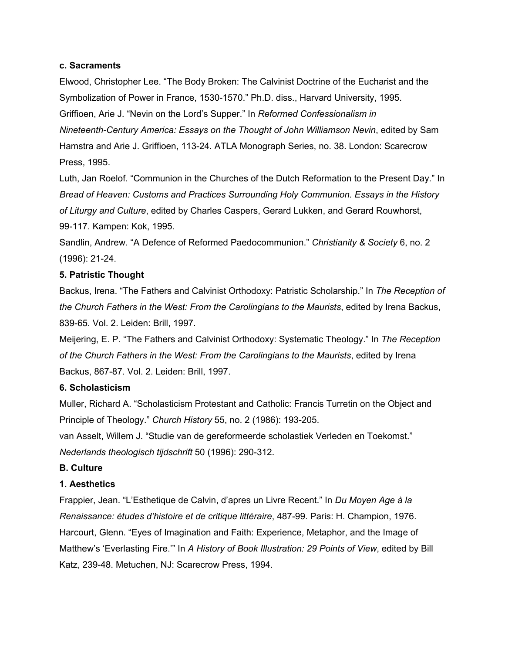### **c. Sacraments**

Elwood, Christopher Lee. "The Body Broken: The Calvinist Doctrine of the Eucharist and the Symbolization of Power in France, 1530-1570." Ph.D. diss., Harvard University, 1995. Griffioen, Arie J. "Nevin on the Lord's Supper." In *Reformed Confessionalism in NineteenthCentury America: Essays on the Thought of John Williamson Nevin*, edited by Sam Hamstra and Arie J. Griffioen, 113-24. ATLA Monograph Series, no. 38. London: Scarecrow Press, 1995.

Luth, Jan Roelof. "Communion in the Churches of the Dutch Reformation to the Present Day." In *Bread of Heaven: Customs and Practices Surrounding Holy Communion. Essays in the History of Liturgy and Culture*, edited by Charles Caspers, Gerard Lukken, and Gerard Rouwhorst, 99-117. Kampen: Kok, 1995.

Sandlin, Andrew. "A Defence of Reformed Paedocommunion." *Christianity & Society* 6, no. 2  $(1996): 21-24.$ 

# **5. Patristic Thought**

Backus, Irena. "The Fathers and Calvinist Orthodoxy: Patristic Scholarship." In *The Reception of the Church Fathers in the West: From the Carolingians to the Maurists*, edited by Irena Backus, 83965. Vol. 2. Leiden: Brill, 1997.

Meijering, E. P. "The Fathers and Calvinist Orthodoxy: Systematic Theology." In *The Reception of the Church Fathers in the West: From the Carolingians to the Maurists*, edited by Irena Backus, 867-87. Vol. 2. Leiden: Brill, 1997.

# **6. Scholasticism**

Muller, Richard A. "Scholasticism Protestant and Catholic: Francis Turretin on the Object and Principle of Theology." *Church History* 55, no. 2 (1986): 193205.

van Asselt, Willem J. "Studie van de gereformeerde scholastiek Verleden en Toekomst." *Nederlands theologisch tijdschrift* 50 (1996): 290-312.

# **B. Culture**

# **1. Aesthetics**

Frappier, Jean. "L'Esthetique de Calvin, d'apres un Livre Recent." In *Du Moyen Age à la Renaissance: études d'histoire et de critique littéraire*, 48799. Paris: H. Champion, 1976. Harcourt, Glenn. "Eyes of Imagination and Faith: Experience, Metaphor, and the Image of Matthew's 'Everlasting Fire.'" In *A History of Book Illustration: 29 Points of View*, edited by Bill Katz, 239-48. Metuchen, NJ: Scarecrow Press, 1994.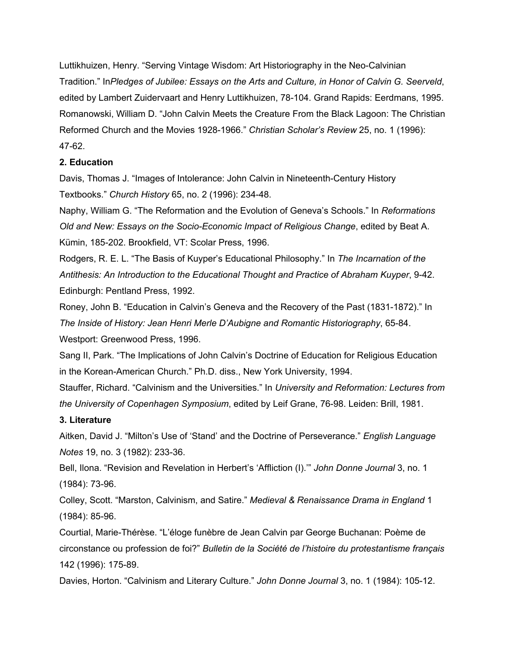Luttikhuizen, Henry. "Serving Vintage Wisdom: Art Historiography in the Neo-Calvinian Tradition." In*Pledges of Jubilee: Essays on the Arts and Culture, in Honor of Calvin G. Seerveld*, edited by Lambert Zuidervaart and Henry Luttikhuizen, 78104. Grand Rapids: Eerdmans, 1995. Romanowski, William D. "John Calvin Meets the Creature From the Black Lagoon: The Christian Reformed Church and the Movies 1928-1966." *Christian Scholar's Review* 25, no. 1 (1996): 47-62.

#### **2. Education**

Davis, Thomas J. "Images of Intolerance: John Calvin in Nineteenth-Century History Textbooks." *Church History* 65, no. 2 (1996): 23448.

Naphy, William G. "The Reformation and the Evolution of Geneva's Schools." In *Reformations* **Old and New: Essays on the Socio-Economic Impact of Religious Change, edited by Beat A.** Kümin, 185202. Brookfield, VT: Scolar Press, 1996.

Rodgers, R. E. L. "The Basis of Kuyper's Educational Philosophy." In *The Incarnation of the Antithesis: An Introduction to the Educational Thought and Practice of Abraham Kuyper*, 942. Edinburgh: Pentland Press, 1992.

Roney, John B. "Education in Calvin's Geneva and the Recovery of the Past (1831-1872)." In *The Inside of History: Jean Henri Merle D'Aubigne and Romantic Historiography*, 6584. Westport: Greenwood Press, 1996.

Sang II, Park. "The Implications of John Calvin's Doctrine of Education for Religious Education in the Korean-American Church." Ph.D. diss., New York University, 1994.

Stauffer, Richard. "Calvinism and the Universities." In *University and Reformation: Lectures from the University of Copenhagen Symposium*, edited by Leif Grane, 76-98. Leiden: Brill, 1981.

#### **3. Literature**

Aitken, David J. "Milton's Use of 'Stand' and the Doctrine of Perseverance." *English Language Notes* 19, no. 3 (1982): 233-36.

Bell, Ilona. "Revision and Revelation in Herbert's 'Affliction (I).'" *John Donne Journal* 3, no. 1  $(1984): 73-96.$ 

Colley, Scott. "Marston, Calvinism, and Satire." *Medieval & Renaissance Drama in England* 1  $(1984): 85-96.$ 

Courtial, Marie-Thérèse. "L'éloge funèbre de Jean Calvin par George Buchanan: Poème de circonstance ou profession de foi?" *Bulletin de la Société de l'histoire du protestantisme français* 142 (1996): 175-89.

Davies, Horton. "Calvinism and Literary Culture." John Donne Journal 3, no. 1 (1984): 105-12.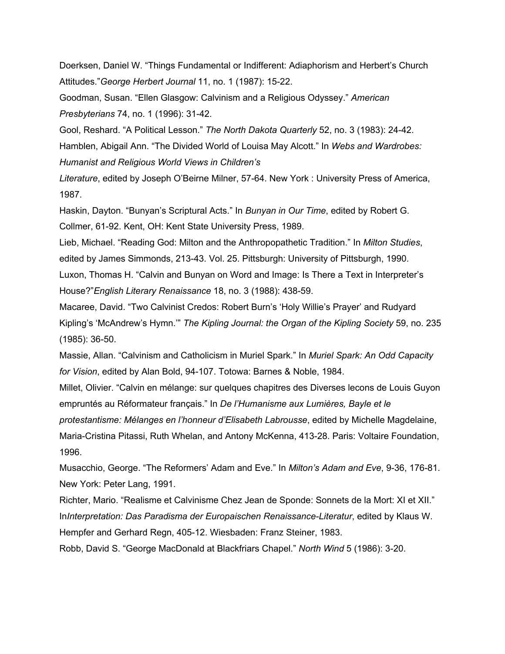Doerksen, Daniel W. "Things Fundamental or Indifferent: Adiaphorism and Herbert's Church Attitudes."*George Herbert Journal* 11, no. 1 (1987): 1522.

Goodman, Susan. "Ellen Glasgow: Calvinism and a Religious Odyssey." *American Presbyterians* 74, no. 1 (1996): 31-42.

Gool, Reshard. "A Political Lesson." *The North Dakota Quarterly* 52, no. 3 (1983): 2442. Hamblen, Abigail Ann. "The Divided World of Louisa May Alcott." In *Webs and Wardrobes: Humanist and Religious World Views in Children's*

Literature, edited by Joseph O'Beirne Milner, 57-64. New York : University Press of America, 1987.

Haskin, Dayton. "Bunyan's Scriptural Acts." In *Bunyan in Our Time*, edited by Robert G. Collmer, 61-92. Kent, OH: Kent State University Press, 1989.

Lieb, Michael. "Reading God: Milton and the Anthropopathetic Tradition." In *Milton Studies*, edited by James Simmonds, 213-43. Vol. 25. Pittsburgh: University of Pittsburgh, 1990. Luxon, Thomas H. "Calvin and Bunyan on Word and Image: Is There a Text in Interpreter's House?"*English Literary Renaissance* 18, no. 3 (1988): 43859.

Macaree, David. "Two Calvinist Credos: Robert Burn's 'Holy Willie's Prayer' and Rudyard Kipling's 'McAndrew's Hymn.'" *The Kipling Journal: the Organ of the Kipling Society* 59, no. 235  $(1985): 36-50.$ 

Massie, Allan. "Calvinism and Catholicism in Muriel Spark." In *Muriel Spark: An Odd Capacity for Vision*, edited by Alan Bold, 94-107. Totowa: Barnes & Noble, 1984.

Millet, Olivier. "Calvin en mélange: sur quelques chapitres des Diverses lecons de Louis Guyon empruntés au Réformateur français." In *De l'Humanisme aux Lumières, Bayle et le*

*protestantisme: Mélanges en l'honneur d'Elisabeth Labrousse*, edited by Michelle Magdelaine,

Maria-Cristina Pitassi, Ruth Whelan, and Antony McKenna, 413-28. Paris: Voltaire Foundation, 1996.

Musacchio, George. "The Reformers' Adam and Eve." In *Milton's Adam and Eve*, 936, 17681. New York: Peter Lang, 1991.

Richter, Mario. "Realisme et Calvinisme Chez Jean de Sponde: Sonnets de la Mort: XI et XII." In*Interpretation: Das Paradisma der Europaischen RenaissanceLiteratur*, edited by Klaus W. Hempfer and Gerhard Regn, 405-12. Wiesbaden: Franz Steiner, 1983.

Robb, David S. "George MacDonald at Blackfriars Chapel." *North Wind* 5 (1986): 320.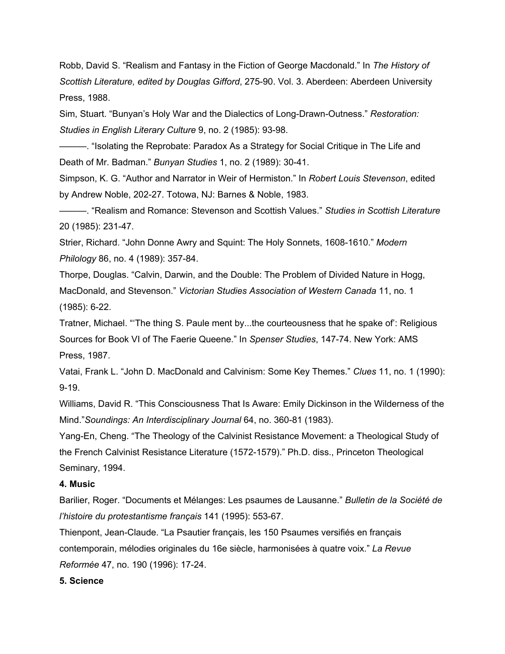Robb, David S. "Realism and Fantasy in the Fiction of George Macdonald." In *The History of* Scottish Literature, edited by Douglas Gifford, 275-90. Vol. 3. Aberdeen: Aberdeen University Press, 1988.

Sim, Stuart. "Bunyan's Holy War and the Dialectics of Long-Drawn-Outness." *Restoration: Studies in English Literary Culture* 9, no. 2 (1985): 93-98.

———. "Isolating the Reprobate: Paradox As a Strategy for Social Critique in The Life and Death of Mr. Badman." *Bunyan Studies* 1, no. 2 (1989): 3041.

Simpson, K. G. "Author and Narrator in Weir of Hermiston." In *Robert Louis Stevenson*, edited by Andrew Noble, 202-27. Totowa, NJ: Barnes & Noble, 1983.

———. "Realism and Romance: Stevenson and Scottish Values." *Studies in Scottish Literature* 20 (1985): 23147.

Strier, Richard. "John Donne Awry and Squint: The Holy Sonnets, 1608-1610." Modern *Philology* 86, no. 4 (1989): 357-84.

Thorpe, Douglas. "Calvin, Darwin, and the Double: The Problem of Divided Nature in Hogg, MacDonald, and Stevenson." *Victorian Studies Association of Western Canada* 11, no. 1  $(1985): 6-22.$ 

Tratner, Michael. "'The thing S. Paule ment by...the courteousness that he spake of': Religious Sources for Book VI of The Faerie Queene." In *Spenser Studies*, 147-74. New York: AMS Press, 1987.

Vatai, Frank L. "John D. MacDonald and Calvinism: Some Key Themes." *Clues* 11, no. 1 (1990):  $9-19.$ 

Williams, David R. "This Consciousness That Is Aware: Emily Dickinson in the Wilderness of the Mind." Soundings: An Interdisciplinary Journal 64, no. 360-81 (1983).

Yang-En, Cheng. "The Theology of the Calvinist Resistance Movement: a Theological Study of the French Calvinist Resistance Literature (1572-1579)." Ph.D. diss., Princeton Theological Seminary, 1994.

#### **4. Music**

Barilier, Roger. "Documents et Mélanges: Les psaumes de Lausanne." *Bulletin de la Société de l'histoire du protestantisme français* 141 (1995): 553-67.

Thienpont, Jean-Claude. "La Psautier français, les 150 Psaumes versifiés en français contemporain, mélodies originales du 16e siècle, harmonisées à quatre voix." *La Revue Reformée* 47, no. 190 (1996): 17-24.

#### **5. Science**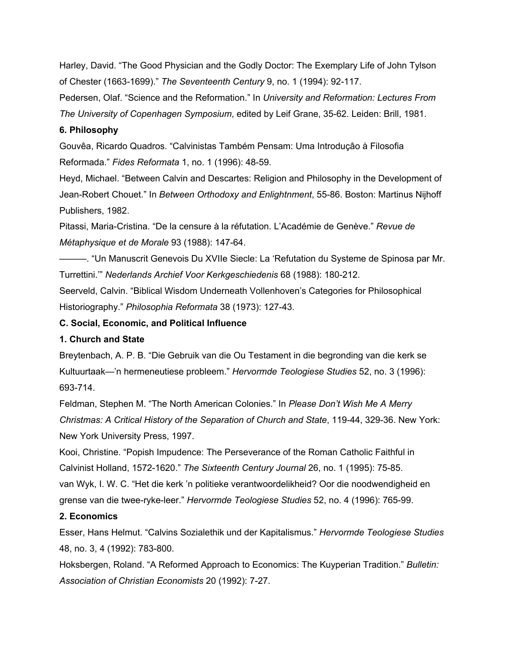Harley, David. "The Good Physician and the Godly Doctor: The Exemplary Life of John Tylson of Chester (1663-1699)." *The Seventeenth Century* 9, no. 1 (1994): 92-117.

Pedersen, Olaf. "Science and the Reformation." In *University and Reformation: Lectures From The University of Copenhagen Symposium*, edited by Leif Grane, 3562. Leiden: Brill, 1981.

### **6. Philosophy**

Gouvêa, Ricardo Quadros. "Calvinistas Também Pensam: Uma Introduçâo à Filosofia Reformada." *Fides Reformata* 1, no. 1 (1996): 4859.

Heyd, Michael. "Between Calvin and Descartes: Religion and Philosophy in the Development of Jean-Robert Chouet." In *Between Orthodoxy and Enlightnment*, 55-86. Boston: Martinus Nijhoff Publishers, 1982.

Pitassi, MariaCristina. "De la censure à la réfutation. L'Académie de Genève." *Revue de Métaphysique et de Morale* 93 (1988): 147-64.

———. "Un Manuscrit Genevois Du XVIIe Siecle: La 'Refutation du Systeme de Spinosa par Mr. Turrettini.'" *Nederlands Archief Voor Kerkgeschiedenis* 68 (1988): 180212.

Seerveld, Calvin. "Biblical Wisdom Underneath Vollenhoven's Categories for Philosophical Historiography." *Philosophia Reformata* 38 (1973): 12743.

#### **C. Social, Economic, and Political Influence**

# **1. Church and State**

Breytenbach, A. P. B. "Die Gebruik van die Ou Testament in die begronding van die kerk se Kultuurtaak—'n hermeneutiese probleem." *Hervormde Teologiese Studies* 52, no. 3 (1996): 693714.

Feldman, Stephen M. "The North American Colonies." In *Please Don't Wish Me A Merry Christmas: A Critical History of the Separation of Church and State*, 11944, 32936. New York: New York University Press, 1997.

Kooi, Christine. "Popish Impudence: The Perseverance of the Roman Catholic Faithful in Calvinist Holland, 15721620." *The Sixteenth Century Journal* 26, no. 1 (1995): 7585. van Wyk, I. W. C. "Het die kerk 'n politieke verantwoordelikheid? Oor die noodwendigheid en grense van die tweerykeleer." *Hervormde Teologiese Studies* 52, no. 4 (1996): 76599.

#### **2. Economics**

Esser, Hans Helmut. "Calvins Sozialethik und der Kapitalismus." *Hervormde Teologiese Studies* 48, no. 3, 4 (1992): 783-800.

Hoksbergen, Roland. "A Reformed Approach to Economics: The Kuyperian Tradition." *Bulletin:* Association of Christian Economists 20 (1992): 7-27.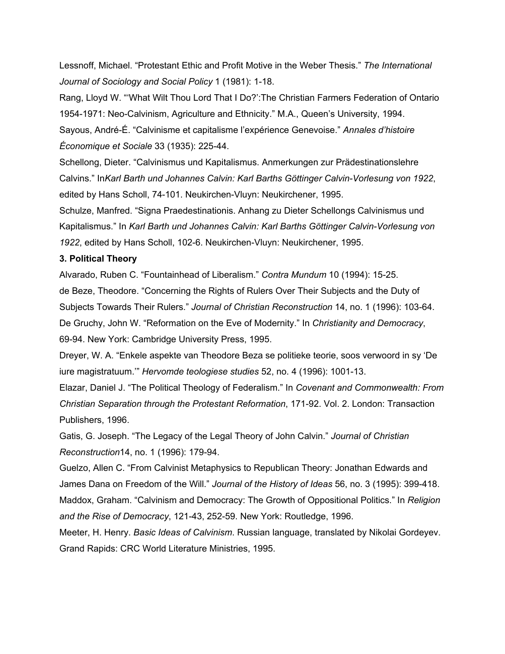Lessnoff, Michael. "Protestant Ethic and Profit Motive in the Weber Thesis." *The International Journal of Sociology and Social Policy* 1 (1981): 1-18.

Rang, Lloyd W. "'What Wilt Thou Lord That I Do?':The Christian Farmers Federation of Ontario 1954-1971: Neo-Calvinism, Agriculture and Ethnicity." M.A., Queen's University, 1994. Sayous, AndréÉ. "Calvinisme et capitalisme l'expérience Genevoise." *Annales d'histoire Économique et Sociale* 33 (1935): 225-44.

Schellong, Dieter. "Calvinismus und Kapitalismus. Anmerkungen zur Prädestinationslehre Calvins." In*Karl Barth und Johannes Calvin: Karl Barths Göttinger CalvinVorlesung von 1922*, edited by Hans Scholl, 74-101. Neukirchen-Vluyn: Neukirchener, 1995.

Schulze, Manfred. "Signa Praedestinationis. Anhang zu Dieter Schellongs Calvinismus und Kapitalismus." In *Karl Barth und Johannes Calvin: Karl Barths Göttinger Calvin-Vorlesung von* 1922, edited by Hans Scholl, 102-6. Neukirchen-Vluyn: Neukirchener, 1995.

### **3. Political Theory**

Alvarado, Ruben C. "Fountainhead of Liberalism." *Contra Mundum* 10 (1994): 15-25. de Beze, Theodore. "Concerning the Rights of Rulers Over Their Subjects and the Duty of Subjects Towards Their Rulers." *Journal of Christian Reconstruction* 14, no. 1 (1996): 10364. De Gruchy, John W. "Reformation on the Eve of Modernity." In *Christianity and Democracy*, 69-94. New York: Cambridge University Press, 1995.

Dreyer, W. A. "Enkele aspekte van Theodore Beza se politieke teorie, soos verwoord in sy 'De iure magistratuum." Hervomde teologiese studies 52, no. 4 (1996): 1001-13.

Elazar, Daniel J. "The Political Theology of Federalism." In *Covenant and Commonwealth: From Christian Separation through the Protestant Reformation*, 17192. Vol. 2. London: Transaction Publishers, 1996.

Gatis, G. Joseph. "The Legacy of the Legal Theory of John Calvin." *Journal of Christian Reconstruction*14, no. 1 (1996): 179-94.

Guelzo, Allen C. "From Calvinist Metaphysics to Republican Theory: Jonathan Edwards and James Dana on Freedom of the Will." *Journal of the History of Ideas* 56, no. 3 (1995): 399418. Maddox, Graham. "Calvinism and Democracy: The Growth of Oppositional Politics." In *Religion* and the Rise of Democracy, 121-43, 252-59. New York: Routledge, 1996.

Meeter, H. Henry. *Basic Ideas of Calvinism*. Russian language, translated by Nikolai Gordeyev. Grand Rapids: CRC World Literature Ministries, 1995.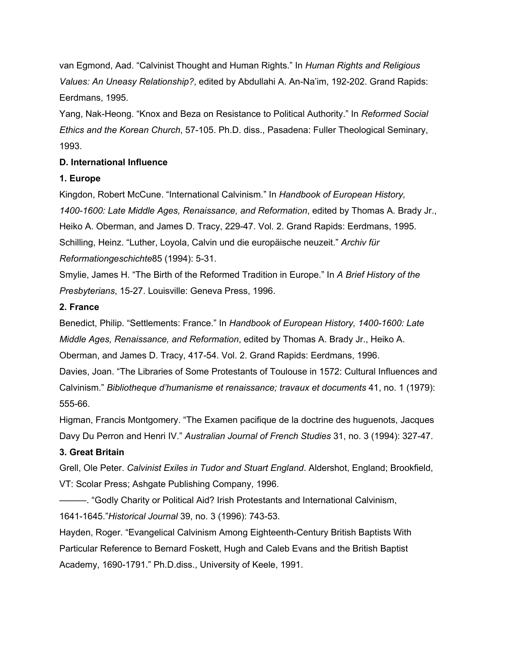van Egmond, Aad. "Calvinist Thought and Human Rights." In *Human Rights and Religious Values: An Uneasy Relationship?*, edited by Abdullahi A. An-Na'im, 192-202. Grand Rapids: Eerdmans, 1995.

Yang, NakHeong. "Knox and Beza on Resistance to Political Authority." In *Reformed Social Ethics and the Korean Church*, 57-105. Ph.D. diss., Pasadena: Fuller Theological Seminary, 1993.

# **D. International Influence**

### **1. Europe**

Kingdon, Robert McCune. "International Calvinism." In *Handbook of European History, 14001600: Late Middle Ages, Renaissance, and Reformation*, edited by Thomas A. Brady Jr., Heiko A. Oberman, and James D. Tracy, 229-47. Vol. 2. Grand Rapids: Eerdmans, 1995. Schilling, Heinz. "Luther, Loyola, Calvin und die europäische neuzeit." *Archiv für Reformationgeschichte*85 (1994): 5-31.

Smylie, James H. "The Birth of the Reformed Tradition in Europe." In *A Brief History of the Presbyterians*, 1527. Louisville: Geneva Press, 1996.

### **2. France**

Benedict, Philip. "Settlements: France." In *Handbook of European History, 1400-1600: Late Middle Ages, Renaissance, and Reformation*, edited by Thomas A. Brady Jr., Heiko A. Oberman, and James D. Tracy, 41754. Vol. 2. Grand Rapids: Eerdmans, 1996.

Davies, Joan. "The Libraries of Some Protestants of Toulouse in 1572: Cultural Influences and Calvinism." *Bibliotheque d'humanisme et renaissance; travaux et documents* 41, no. 1 (1979): 55566.

Higman, Francis Montgomery. "The Examen pacifique de la doctrine des huguenots, Jacques Davy Du Perron and Henri IV." *Australian Journal of French Studies* 31, no. 3 (1994): 32747.

# **3. Great Britain**

Grell, Ole Peter. *Calvinist Exiles in Tudor and Stuart England*. Aldershot, England; Brookfield, VT: Scolar Press; Ashgate Publishing Company, 1996.

———. "Godly Charity or Political Aid? Irish Protestants and International Calvinism, 1641-1645."*Historical Journal* 39, no. 3 (1996): 743-53.

Hayden, Roger. "Evangelical Calvinism Among Eighteenth-Century British Baptists With Particular Reference to Bernard Foskett, Hugh and Caleb Evans and the British Baptist Academy, 1690-1791." Ph.D.diss., University of Keele, 1991.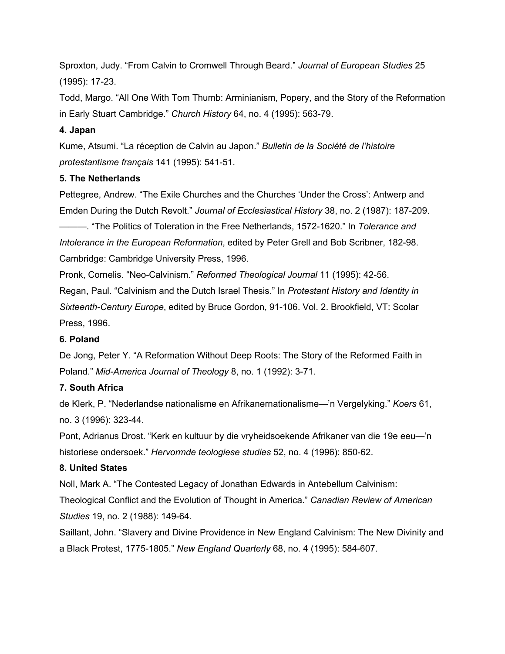Sproxton, Judy. "From Calvin to Cromwell Through Beard." *Journal of European Studies* 25 (1995): 17-23.

Todd, Margo. "All One With Tom Thumb: Arminianism, Popery, and the Story of the Reformation in Early Stuart Cambridge." *Church History* 64, no. 4 (1995): 56379.

# **4. Japan**

Kume, Atsumi. "La réception de Calvin au Japon." *Bulletin de la Société de l'histoire protestantisme français* 141 (1995): 541-51.

# **5. The Netherlands**

Pettegree, Andrew. "The Exile Churches and the Churches 'Under the Cross': Antwerp and Emden During the Dutch Revolt." *Journal of Ecclesiastical History* 38, no. 2 (1987): 187-209.

———. "The Politics of Toleration in the Free Netherlands, 15721620." In *Tolerance and Intolerance in the European Reformation*, edited by Peter Grell and Bob Scribner, 182-98. Cambridge: Cambridge University Press, 1996.

Pronk, Cornelis. "NeoCalvinism." *Reformed Theological Journal* 11 (1995): 4256. Regan, Paul. "Calvinism and the Dutch Israel Thesis." In *Protestant History and Identity in Sixteenth-Century Europe*, edited by Bruce Gordon, 91-106. Vol. 2. Brookfield, VT: Scolar Press, 1996.

# **6. Poland**

De Jong, Peter Y. "A Reformation Without Deep Roots: The Story of the Reformed Faith in Poland." *Mid-America Journal of Theology* 8, no. 1 (1992): 3-71.

# **7. South Africa**

de Klerk, P. "Nederlandse nationalisme en Afrikanernationalisme—'n Vergelyking." *Koers* 61, no. 3 (1996): 32344.

Pont, Adrianus Drost. "Kerk en kultuur by die vryheidsoekende Afrikaner van die 19e eeu—'n historiese ondersoek." *Hervormde teologiese studies* 52, no. 4 (1996): 85062.

# **8. United States**

Noll, Mark A. "The Contested Legacy of Jonathan Edwards in Antebellum Calvinism: Theological Conflict and the Evolution of Thought in America." *Canadian Review of American Studies* 19, no. 2 (1988): 149-64.

Saillant, John. "Slavery and Divine Providence in New England Calvinism: The New Divinity and a Black Protest, 1775-1805." *New England Quarterly* 68, no. 4 (1995): 584-607.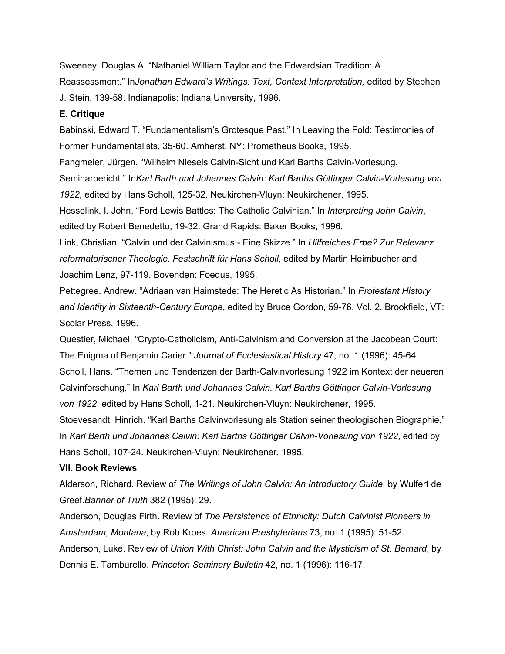Sweeney, Douglas A. "Nathaniel William Taylor and the Edwardsian Tradition: A Reassessment." In*Jonathan Edward's Writings: Text, Context Interpretation,* edited by Stephen J. Stein, 139-58. Indianapolis: Indiana University, 1996.

#### **E. Critique**

Babinski, Edward T. "Fundamentalism's Grotesque Past." In Leaving the Fold: Testimonies of Former Fundamentalists, 3560. Amherst, NY: Prometheus Books, 1995.

Fangmeier, Jürgen. "Wilhelm Niesels Calvin-Sicht und Karl Barths Calvin-Vorlesung. Seminarbericht." In*Karl Barth und Johannes Calvin: Karl Barths Göttinger CalvinVorlesung von* 1922, edited by Hans Scholl, 125-32. Neukirchen-Vluyn: Neukirchener, 1995.

Hesselink, I. John. "Ford Lewis Battles: The Catholic Calvinian." In *Interpreting John Calvin*, edited by Robert Benedetto, 19-32. Grand Rapids: Baker Books, 1996.

Link, Christian. "Calvin und der Calvinismus Eine Skizze." In *Hilfreiches Erbe? Zur Relevanz reformatorischer Theologie. Festschrift für Hans Scholl*, edited by Martin Heimbucher and Joachim Lenz, 97-119. Bovenden: Foedus, 1995.

Pettegree, Andrew. "Adriaan van Haimstede: The Heretic As Historian." In *Protestant History and Identity in Sixteenth-Century Europe*, edited by Bruce Gordon, 59-76. Vol. 2. Brookfield, VT: Scolar Press, 1996.

Questier, Michael. "Crypto-Catholicism, Anti-Calvinism and Conversion at the Jacobean Court: The Enigma of Benjamin Carier." *Journal of Ecclesiastical History* 47, no. 1 (1996): 4564. Scholl, Hans. "Themen und Tendenzen der Barth-Calvinvorlesung 1922 im Kontext der neueren Calvinforschung." In *Karl Barth und Johannes Calvin. Karl Barths Göttinger CalvinVorlesung* von 1922, edited by Hans Scholl, 1-21. Neukirchen-Vluyn: Neukirchener, 1995.

Stoevesandt, Hinrich. "Karl Barths Calvinvorlesung als Station seiner theologischen Biographie." In *Karl Barth und Johannes Calvin: Karl Barths Göttinger CalvinVorlesung von 1922*, edited by Hans Scholl, 107-24. Neukirchen-Vluyn: Neukirchener, 1995.

#### **VII. Book Reviews**

Alderson, Richard. Review of *The Writings of John Calvin: An Introductory Guide*, by Wulfert de Greef.*Banner of Truth* 382 (1995): 29.

Anderson, Douglas Firth. Review of *The Persistence of Ethnicity: Dutch Calvinist Pioneers in* Amsterdam, Montana, by Rob Kroes. American Presbyterians 73, no. 1 (1995): 51-52. Anderson, Luke. Review of *Union With Christ: John Calvin and the Mysticism of St. Bernard*, by Dennis E. Tamburello. *Princeton Seminary Bulletin* 42, no. 1 (1996): 11617.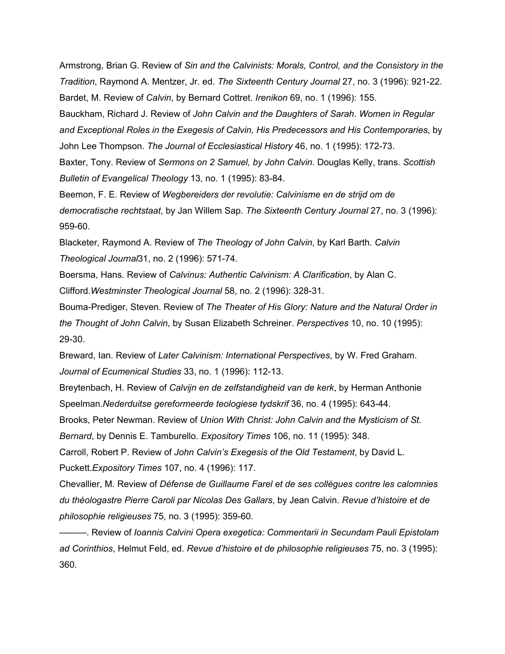Armstrong, Brian G. Review of *Sin and the Calvinists: Morals, Control, and the Consistory in the Tradition*, Raymond A. Mentzer, Jr. ed. *The Sixteenth Century Journal* 27, no. 3 (1996): 921-22. Bardet, M. Review of *Calvin*, by Bernard Cottret. *Irenikon* 69, no. 1 (1996): 155.

Bauckham, Richard J. Review of *John Calvin and the Daughters of Sarah. Women in Regular and Exceptional Roles in the Exegesis of Calvin, His Predecessors and His Contemporaries*, by John Lee Thompson. *The Journal of Ecclesiastical History* 46, no. 1 (1995): 17273.

Baxter, Tony. Review of *Sermons on 2 Samuel, by John Calvin*. Douglas Kelly, trans. *Scottish Bulletin of Evangelical Theology* 13, no. 1 (1995): 83-84.

Beemon, F. E. Review of *Wegbereiders der revolutie: Calvinisme en de strijd om de democratische rechtstaat*, by Jan Willem Sap. *The Sixteenth Century Journal* 27, no. 3 (1996): 959-60.

Blacketer, Raymond A. Review of *The Theology of John Calvin*, by Karl Barth. *Calvin Theological Journal*31, no. 2 (1996): 571-74.

Boersma, Hans. Review of *Calvinus: Authentic Calvinism: A Clarification*, by Alan C. Clifford. Westminster Theological Journal 58, no. 2 (1996): 328-31.

BoumaPrediger, Steven. Review of *The Theater of His Glory: Nature and the Natural Order in the Thought of John Calvin*, by Susan Elizabeth Schreiner. *Perspectives* 10, no. 10 (1995): 29-30.

Breward, Ian. Review of *Later Calvinism: International Perspectives*, by W. Fred Graham. Journal of Ecumenical Studies 33, no. 1 (1996): 112-13.

Breytenbach, H. Review of *Calvijn en de zelfstandigheid van de kerk*, by Herman Anthonie Speelman.*Nederduitse gereformeerde teologiese tydskrif* 36, no. 4 (1995): 643-44.

Brooks, Peter Newman. Review of *Union With Christ: John Calvin and the Mysticism of St. Bernard*, by Dennis E. Tamburello. *Expository Times* 106, no. 11 (1995): 348.

Carroll, Robert P. Review of *John Calvin's Exegesis of the Old Testament*, by David L. Puckett.*Expository Times* 107, no. 4 (1996): 117.

Chevallier, M. Review of *Défense de Guillaume Farel et de ses collègues contre les calomnies du théologastre Pierre Caroli par Nicolas Des Gallars*, by Jean Calvin. *Revue d'histoire et de philosophie religieuses* 75, no. 3 (1995): 359-60.

———. Review of *Ioannis Calvini Opera exegetica: Commentarii in Secundam Pauli Epistolam ad Corinthios*, Helmut Feld, ed. *Revue d'histoire et de philosophie religieuses* 75, no. 3 (1995): 360.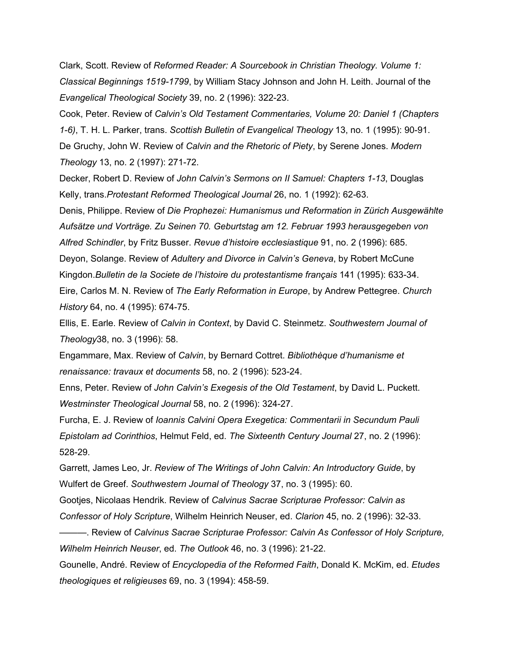Clark, Scott. Review of *Reformed Reader: A Sourcebook in Christian Theology. Volume 1: Classical Beginnings 1519-1799*, by William Stacy Johnson and John H. Leith. Journal of the *Evangelical Theological Society* 39, no. 2 (1996): 322-23.

Cook, Peter. Review of *Calvin's Old Testament Commentaries, Volume 20: Daniel 1 (Chapters 16)*, T. H. L. Parker, trans. *Scottish Bulletin of Evangelical Theology* 13, no. 1 (1995): 9091. De Gruchy, John W. Review of *Calvin and the Rhetoric of Piety*, by Serene Jones. *Modern Theology* 13, no. 2 (1997): 271-72.

Decker, Robert D. Review of *John Calvin's Sermons on II Samuel: Chapters 113*, Douglas Kelly, trans.*Protestant Reformed Theological Journal* 26, no. 1 (1992): 6263.

Denis, Philippe. Review of *Die Prophezei: Humanismus und Reformation in Zürich Ausgewählte Aufsätze und Vorträge. Zu Seinen 70. Geburtstag am 12. Februar 1993 herausgegeben von Alfred Schindler*, by Fritz Busser. *Revue d'histoire ecclesiastique* 91, no. 2 (1996): 685. Deyon, Solange. Review of *Adultery and Divorce in Calvin's Geneva*, by Robert McCune Kingdon.*Bulletin de la Societe de l'histoire du protestantisme français* 141 (1995): 63334. Eire, Carlos M. N. Review of *The Early Reformation in Europe*, by Andrew Pettegree. *Church History* 64, no. 4 (1995): 674-75.

Ellis, E. Earle. Review of *Calvin in Context*, by David C. Steinmetz. *Southwestern Journal of Theology*38, no. 3 (1996): 58.

Engammare, Max. Review of *Calvin*, by Bernard Cottret. *Bibliothèque d'humanisme et renaissance: travaux et documents* 58, no. 2 (1996): 523-24.

Enns, Peter. Review of *John Calvin's Exegesis of the Old Testament*, by David L. Puckett. *Westminster Theological Journal* 58, no. 2 (1996): 324-27.

Furcha, E. J. Review of *Ioannis Calvini Opera Exegetica: Commentarii in Secundum Pauli Epistolam ad Corinthios*, Helmut Feld, ed. *The Sixteenth Century Journal* 27, no. 2 (1996): 528-29.

Garrett, James Leo, Jr. *Review of The Writings of John Calvin: An Introductory Guide*, by Wulfert de Greef. *Southwestern Journal of Theology* 37, no. 3 (1995): 60.

Gootjes, Nicolaas Hendrik. Review of *Calvinus Sacrae Scripturae Professor: Calvin as Confessor of Holy Scripture, Wilhelm Heinrich Neuser, ed. <i>Clarion* 45, no. 2 (1996): 32-33.

———. Review of *Calvinus Sacrae Scripturae Professor: Calvin As Confessor of Holy Scripture, Wilhelm Heinrich Neuser, ed. The Outlook* 46, no. 3 (1996): 21-22.

Gounelle, André. Review of *Encyclopedia of the Reformed Faith*, Donald K. McKim, ed. *Etudes theologiques et religieuses* 69, no. 3 (1994): 458-59.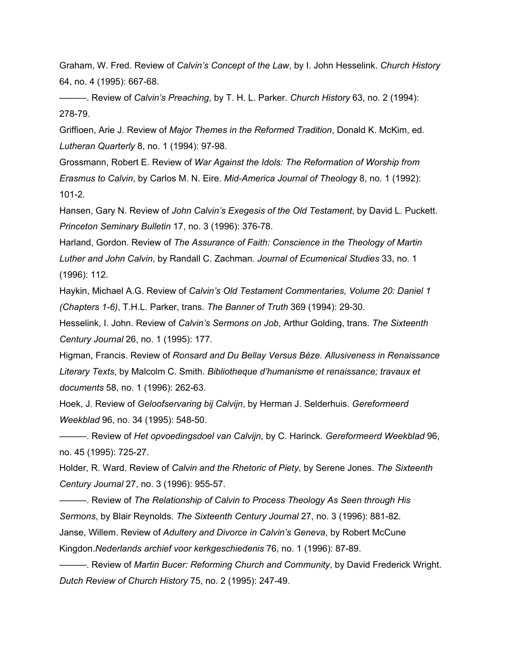Graham, W. Fred. Review of *Calvin's Concept of the Law*, by I. John Hesselink. *Church History* 64, no. 4 (1995): 667-68.

———. Review of *Calvin's Preaching*, by T. H. L. Parker. *Church History* 63, no. 2 (1994): 278-79.

Griffioen, Arie J. Review of *Major Themes in the Reformed Tradition*, Donald K. McKim, ed. *Lutheran Quarterly 8, no. 1 (1994): 97-98.* 

Grossmann, Robert E. Review of *War Against the Idols: The Reformation of Worship from Erasmus to Calvin*, by Carlos M. N. Eire. *MidAmerica Journal of Theology* 8, no. 1 (1992):  $101 - 2.$ 

Hansen, Gary N. Review of *John Calvin's Exegesis of the Old Testament*, by David L. Puckett. *Princeton Seminary Bulletin* 17, no. 3 (1996): 376-78.

Harland, Gordon. Review of *The Assurance of Faith: Conscience in the Theology of Martin Luther and John Calvin*, by Randall C. Zachman. *Journal of Ecumenical Studies* 33, no. 1 (1996): 112.

Haykin, Michael A.G. Review of *Calvin's Old Testament Commentaries, Volume 20: Daniel 1 (Chapters 16)*, T.H.L. Parker, trans. *The Banner of Truth* 369 (1994): 2930.

Hesselink, I. John. Review of *Calvin's Sermons on Job*, Arthur Golding, trans. *The Sixteenth Century Journal* 26, no. 1 (1995): 177.

Higman, Francis. Review of *Ronsard and Du Bellay Versus Bèze. Allusiveness in Renaissance Literary Texts*, by Malcolm C. Smith. *Bibliotheque d'humanisme et renaissance; travaux et documents* 58, no. 1 (1996): 262-63.

Hoek, J. Review of *Geloofservaring bij Calvijn*, by Herman J. Selderhuis. *Gereformeerd Weekblad* 96, no. 34 (1995): 548-50.

———. Review of *Het opvoedingsdoel van Calvijn*, by C. Harinck. *Gereformeerd Weekblad* 96, no. 45 (1995): 725-27.

Holder, R. Ward. Review of *Calvin and the Rhetoric of Piety*, by Serene Jones. *The Sixteenth Century Journal* 27, no. 3 (1996): 955-57.

———. Review of *The Relationship of Calvin to Process Theology As Seen through His Sermons*, by Blair Reynolds. *The Sixteenth Century Journal* 27, no. 3 (1996): 881-82. Janse, Willem. Review of *Adultery and Divorce in Calvin's Geneva*, by Robert McCune Kingdon.Nederlands archief voor kerkgeschiedenis 76, no. 1 (1996): 87-89.

———. Review of *Martin Bucer: Reforming Church and Community*, by David Frederick Wright. *Dutch Review of Church History* 75, no. 2 (1995): 24749.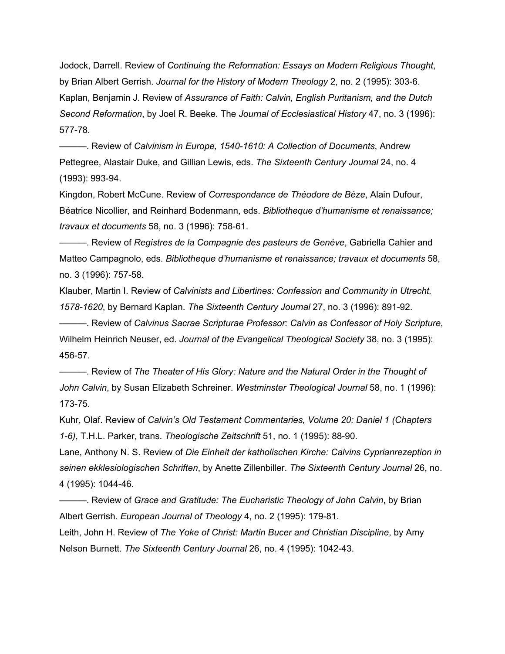Jodock, Darrell. Review of *Continuing the Reformation: Essays on Modern Religious Thought*, by Brian Albert Gerrish. *Journal for the History of Modern Theology* 2, no. 2 (1995): 303-6. Kaplan, Benjamin J. Review of *Assurance of Faith: Calvin, English Puritanism, and the Dutch Second Reformation*, by Joel R. Beeke. The *Journal of Ecclesiastical History* 47, no. 3 (1996): 577-78.

———. Review of *Calvinism in Europe, 15401610: A Collection of Documents*, Andrew Pettegree, Alastair Duke, and Gillian Lewis, eds. *The Sixteenth Century Journal* 24, no. 4 (1993): 993-94.

Kingdon, Robert McCune. Review of *Correspondance de Théodore de Bèze*, Alain Dufour, Béatrice Nicollier, and Reinhard Bodenmann, eds. *Bibliotheque d'humanisme et renaissance; travaux et documents* 58, no. 3 (1996): 758-61.

———. Review of *Registres de la Compagnie des pasteurs de Genève*, Gabriella Cahier and Matteo Campagnolo, eds. *Bibliotheque d'humanisme et renaissance; travaux et documents* 58, no. 3 (1996): 757-58.

Klauber, Martin I. Review of *Calvinists and Libertines: Confession and Community in Utrecht, 15781620*, by Bernard Kaplan. *The Sixteenth Century Journal* 27, no. 3 (1996): 89192.

———. Review of *Calvinus Sacrae Scripturae Professor: Calvin as Confessor of Holy Scripture*, Wilhelm Heinrich Neuser, ed. *Journal of the Evangelical Theological Society* 38, no. 3 (1995): 456-57.

———. Review of *The Theater of His Glory: Nature and the Natural Order in the Thought of John Calvin*, by Susan Elizabeth Schreiner. *Westminster Theological Journal* 58, no. 1 (1996): 173-75.

Kuhr, Olaf. Review of *Calvin's Old Testament Commentaries, Volume 20: Daniel 1 (Chapters 1-6*), T.H.L. Parker, trans. *Theologische Zeitschrift* 51, no. 1 (1995): 88-90.

Lane, Anthony N. S. Review of *Die Einheit der katholischen Kirche: Calvins Cyprianrezeption in seinen ekklesiologischen Schriften*, by Anette Zillenbiller. *The Sixteenth Century Journal* 26, no. 4 (1995): 1044-46.

———. Review of *Grace and Gratitude: The Eucharistic Theology of John Calvin*, by Brian Albert Gerrish. *European Journal of Theology* 4, no. 2 (1995): 179-81.

Leith, John H. Review of *The Yoke of Christ: Martin Bucer and Christian Discipline*, by Amy Nelson Burnett. *The Sixteenth Century Journal* 26, no. 4 (1995): 104243.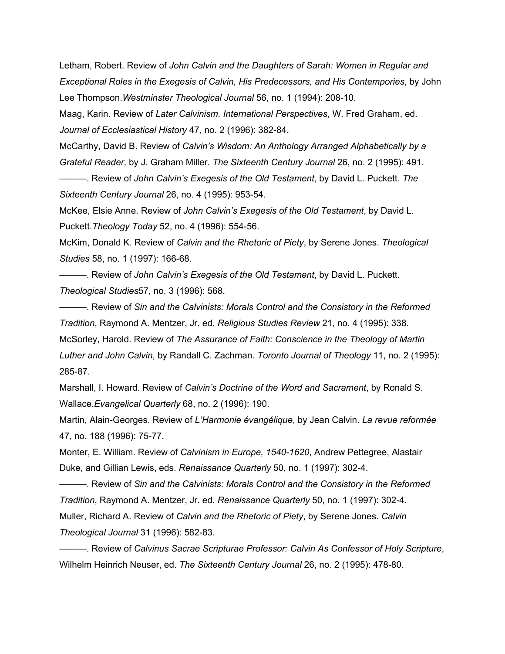Letham, Robert. Review of *John Calvin and the Daughters of Sarah: Women in Regular and Exceptional Roles in the Exegesis of Calvin, His Predecessors, and His Contempories*, by John Lee Thompson. Westminster Theological Journal 56, no. 1 (1994): 208-10.

Maag, Karin. Review of *Later Calvinism. International Perspectives*, W. Fred Graham, ed. *Journal of Ecclesiastical History* 47, no. 2 (1996): 382-84.

McCarthy, David B. Review of *Calvin's Wisdom: An Anthology Arranged Alphabetically by a Grateful Reader*, by J. Graham Miller. *The Sixteenth Century Journal* 26, no. 2 (1995): 491.

———. Review of *John Calvin's Exegesis of the Old Testament*, by David L. Puckett. *The Sixteenth Century Journal* 26, no. 4 (1995): 953-54.

McKee, Elsie Anne. Review of *John Calvin's Exegesis of the Old Testament*, by David L. Puckett. Theology Today 52, no. 4 (1996): 554-56.

McKim, Donald K. Review of *Calvin and the Rhetoric of Piety*, by Serene Jones. *Theological Studies* 58, no. 1 (1997): 166-68.

———. Review of *John Calvin's Exegesis of the Old Testament*, by David L. Puckett. *Theological Studies*57, no. 3 (1996): 568.

———. Review of *Sin and the Calvinists: Morals Control and the Consistory in the Reformed Tradition*, Raymond A. Mentzer, Jr. ed. *Religious Studies Review* 21, no. 4 (1995): 338. McSorley, Harold. Review of *The Assurance of Faith: Conscience in the Theology of Martin Luther and John Calvin*, by Randall C. Zachman. *Toronto Journal of Theology* 11, no. 2 (1995): 285-87.

Marshall, I. Howard. Review of *Calvin's Doctrine of the Word and Sacrament*, by Ronald S. Wallace.*Evangelical Quarterly* 68, no. 2 (1996): 190.

Martin, AlainGeorges. Review of *L'Harmonie évangélique*, by Jean Calvin. *La revue reformée* 47, no. 188 (1996): 75-77.

Monter, E. William. Review of *Calvinism in Europe, 1540-1620*, Andrew Pettegree, Alastair Duke, and Gillian Lewis, eds. *Renaissance Quarterly* 50, no. 1 (1997): 3024.

———. Review of *Sin and the Calvinists: Morals Control and the Consistory in the Reformed Tradition*, Raymond A. Mentzer, Jr. ed. *Renaissance Quarterly* 50, no. 1 (1997): 3024. Muller, Richard A. Review of *Calvin and the Rhetoric of Piety*, by Serene Jones. *Calvin Theological Journal* 31 (1996): 582-83.

———. Review of *Calvinus Sacrae Scripturae Professor: Calvin As Confessor of Holy Scripture*, Wilhelm Heinrich Neuser, ed. *The Sixteenth Century Journal* 26, no. 2 (1995): 478-80.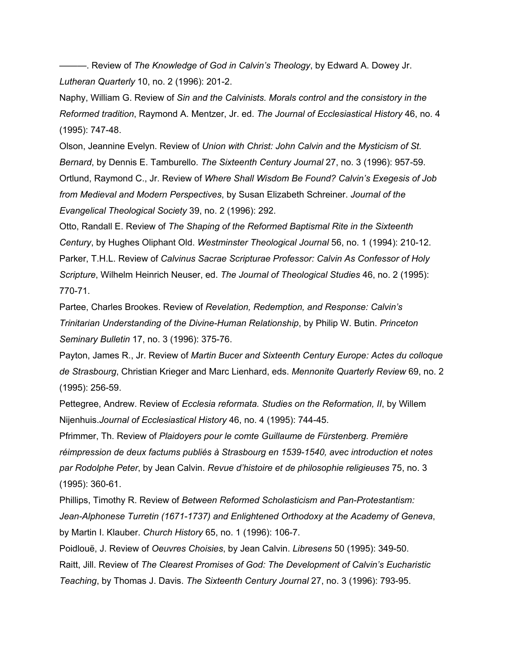———. Review of *The Knowledge of God in Calvin's Theology*, by Edward A. Dowey Jr. *Lutheran Quarterly* 10, no. 2 (1996): 201-2.

Naphy, William G. Review of *Sin and the Calvinists. Morals control and the consistory in the Reformed tradition*, Raymond A. Mentzer, Jr. ed. *The Journal of Ecclesiastical History* 46, no. 4 (1995): 747-48.

Olson, Jeannine Evelyn. Review of *Union with Christ: John Calvin and the Mysticism of St. Bernard*, by Dennis E. Tamburello. *The Sixteenth Century Journal* 27, no. 3 (1996): 95759. Ortlund, Raymond C., Jr. Review of *Where Shall Wisdom Be Found? Calvin's Exegesis of Job from Medieval and Modern Perspectives*, by Susan Elizabeth Schreiner. *Journal of the Evangelical Theological Society* 39, no. 2 (1996): 292.

Otto, Randall E. Review of *The Shaping of the Reformed Baptismal Rite in the Sixteenth Century*, by Hughes Oliphant Old. *Westminster Theological Journal* 56, no. 1 (1994): 210-12. Parker, T.H.L. Review of *Calvinus Sacrae Scripturae Professor: Calvin As Confessor of Holy Scripture*, Wilhelm Heinrich Neuser, ed. *The Journal of Theological Studies* 46, no. 2 (1995): 770-71.

Partee, Charles Brookes. Review of *Revelation, Redemption, and Response: Calvin's Trinitarian Understanding of the Divine-Human Relationship, by Philip W. Butin. Princeton Seminary Bulletin* 17, no. 3 (1996): 375-76.

Payton, James R., Jr. Review of *Martin Bucer and Sixteenth Century Europe: Actes du colloque de Strasbourg*, Christian Krieger and Marc Lienhard, eds. *Mennonite Quarterly Review* 69, no. 2  $(1995): 256-59.$ 

Pettegree, Andrew. Review of *Ecclesia reformata. Studies on the Reformation, II*, by Willem Nijenhuis.*Journal of Ecclesiastical History* 46, no. 4 (1995): 74445.

Pfrimmer, Th. Review of *Plaidoyers pour le comte Guillaume de Fürstenberg. Première réimpression de deux factums publiés à Strasbourg en 15391540, avec introduction et notes par Rodolphe Peter*, by Jean Calvin. *Revue d'histoire et de philosophie religieuses* 75, no. 3  $(1995): 360-61.$ 

**Phillips, Timothy R. Review of** *Between Reformed Scholasticism and Pan-Protestantism: JeanAlphonese Turretin (16711737) and Enlightened Orthodoxy at the Academy of Geneva*, by Martin I. Klauber. *Church History* 65, no. 1 (1996): 1067.

Poidlouë, J. Review of *Oeuvres Choisies*, by Jean Calvin. *Libresens* 50 (1995): 34950. Raitt, Jill. Review of *The Clearest Promises of God: The Development of Calvin's Eucharistic Teaching*, by Thomas J. Davis. *The Sixteenth Century Journal* 27, no. 3 (1996): 793-95.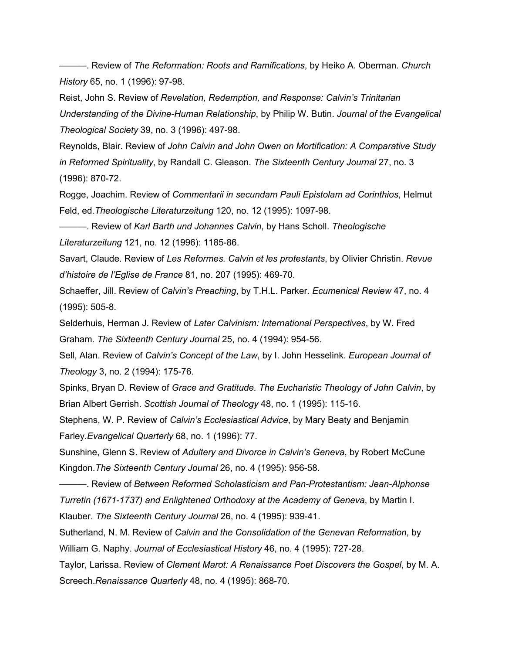———. Review of *The Reformation: Roots and Ramifications*, by Heiko A. Oberman. *Church History* 65, no. 1 (1996): 97-98.

Reist, John S. Review of *Revelation, Redemption, and Response: Calvin's Trinitarian Understanding of the Divine-Human Relationship, by Philip W. Butin. Journal of the Evangelical Theological Society* 39, no. 3 (1996): 497-98.

Reynolds, Blair. Review of *John Calvin and John Owen on Mortification: A Comparative Study in Reformed Spirituality*, by Randall C. Gleason. *The Sixteenth Century Journal* 27, no. 3 (1996): 870-72.

Rogge, Joachim. Review of *Commentarii in secundam Pauli Epistolam ad Corinthios*, Helmut Feld, ed. Theologische Literaturzeitung 120, no. 12 (1995): 1097-98.

———. Review of *Karl Barth und Johannes Calvin*, by Hans Scholl. *Theologische Literaturzeitung* 121, no. 12 (1996): 1185-86.

Savart, Claude. Review of *Les Reformes. Calvin et les protestants*, by Olivier Christin. *Revue d'histoire de l'Eglise de France* 81, no. 207 (1995): 469-70.

Schaeffer, Jill. Review of *Calvin's Preaching*, by T.H.L. Parker. *Ecumenical Review* 47, no. 4  $(1995): 505-8.$ 

Selderhuis, Herman J. Review of *Later Calvinism: International Perspectives*, by W. Fred Graham. *The Sixteenth Century Journal* 25, no. 4 (1994): 95456.

Sell, Alan. Review of *Calvin's Concept of the Law*, by I. John Hesselink. *European Journal of Theology* 3, no. 2 (1994): 175-76.

Spinks, Bryan D. Review of *Grace and Gratitude. The Eucharistic Theology of John Calvin*, by Brian Albert Gerrish. *Scottish Journal of Theology* 48, no. 1 (1995): 11516.

Stephens, W. P. Review of *Calvin's Ecclesiastical Advice*, by Mary Beaty and Benjamin Farley.*Evangelical Quarterly* 68, no. 1 (1996): 77.

Sunshine, Glenn S. Review of *Adultery and Divorce in Calvin's Geneva*, by Robert McCune Kingdon. The Sixteenth Century Journal 26, no. 4 (1995): 956-58.

———. Review of *Between Reformed Scholasticism and PanProtestantism: JeanAlphonse Turretin (1671-1737) and Enlightened Orthodoxy at the Academy of Geneva, by Martin I.* 

Klauber. *The Sixteenth Century Journal* 26, no. 4 (1995): 93941.

Sutherland, N. M. Review of *Calvin and the Consolidation of the Genevan Reformation*, by William G. Naphy. *Journal of Ecclesiastical History* 46, no. 4 (1995): 72728.

Taylor, Larissa. Review of *Clement Marot: A Renaissance Poet Discovers the Gospel*, by M. A. Screech.*Renaissance Quarterly* 48, no. 4 (1995): 868-70.